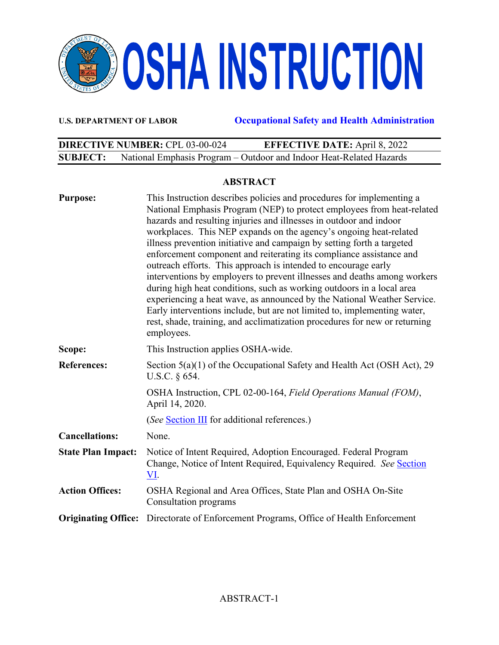

**U.S. DEPARTMENT OF LABOR Occupational Safety and Health Administration** 

|                 | <b>DIRECTIVE NUMBER: CPL 03-00-024</b> | <b>EFFECTIVE DATE:</b> April 8, 2022                                |  |
|-----------------|----------------------------------------|---------------------------------------------------------------------|--|
| <b>SUBJECT:</b> |                                        | National Emphasis Program - Outdoor and Indoor Heat-Related Hazards |  |

#### **ABSTRACT**

| <b>Purpose:</b>            | This Instruction describes policies and procedures for implementing a<br>National Emphasis Program (NEP) to protect employees from heat-related<br>hazards and resulting injuries and illnesses in outdoor and indoor<br>workplaces. This NEP expands on the agency's ongoing heat-related<br>illness prevention initiative and campaign by setting forth a targeted<br>enforcement component and reiterating its compliance assistance and<br>outreach efforts. This approach is intended to encourage early<br>interventions by employers to prevent illnesses and deaths among workers<br>during high heat conditions, such as working outdoors in a local area<br>experiencing a heat wave, as announced by the National Weather Service.<br>Early interventions include, but are not limited to, implementing water,<br>rest, shade, training, and acclimatization procedures for new or returning<br>employees. |
|----------------------------|-----------------------------------------------------------------------------------------------------------------------------------------------------------------------------------------------------------------------------------------------------------------------------------------------------------------------------------------------------------------------------------------------------------------------------------------------------------------------------------------------------------------------------------------------------------------------------------------------------------------------------------------------------------------------------------------------------------------------------------------------------------------------------------------------------------------------------------------------------------------------------------------------------------------------|
| Scope:                     | This Instruction applies OSHA-wide.                                                                                                                                                                                                                                                                                                                                                                                                                                                                                                                                                                                                                                                                                                                                                                                                                                                                                   |
| <b>References:</b>         | Section $5(a)(1)$ of the Occupational Safety and Health Act (OSH Act), 29<br>U.S.C. § 654.                                                                                                                                                                                                                                                                                                                                                                                                                                                                                                                                                                                                                                                                                                                                                                                                                            |
|                            | OSHA Instruction, CPL 02-00-164, Field Operations Manual (FOM),<br>April 14, 2020.                                                                                                                                                                                                                                                                                                                                                                                                                                                                                                                                                                                                                                                                                                                                                                                                                                    |
|                            | (See Section III for additional references.)                                                                                                                                                                                                                                                                                                                                                                                                                                                                                                                                                                                                                                                                                                                                                                                                                                                                          |
| <b>Cancellations:</b>      | None.                                                                                                                                                                                                                                                                                                                                                                                                                                                                                                                                                                                                                                                                                                                                                                                                                                                                                                                 |
| <b>State Plan Impact:</b>  | Notice of Intent Required, Adoption Encouraged. Federal Program<br>Change, Notice of Intent Required, Equivalency Required. See Section<br>VI.                                                                                                                                                                                                                                                                                                                                                                                                                                                                                                                                                                                                                                                                                                                                                                        |
| <b>Action Offices:</b>     | OSHA Regional and Area Offices, State Plan and OSHA On-Site<br>Consultation programs                                                                                                                                                                                                                                                                                                                                                                                                                                                                                                                                                                                                                                                                                                                                                                                                                                  |
| <b>Originating Office:</b> | Directorate of Enforcement Programs, Office of Health Enforcement                                                                                                                                                                                                                                                                                                                                                                                                                                                                                                                                                                                                                                                                                                                                                                                                                                                     |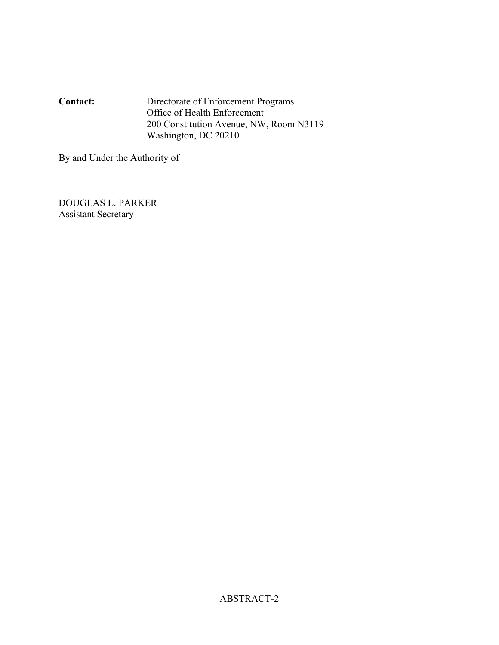**Contact:** Directorate of Enforcement Programs Office of Health Enforcement 200 Constitution Avenue, NW, Room N3119 Washington, DC 20210

By and Under the Authority of

DOUGLAS L. PARKER Assistant Secretary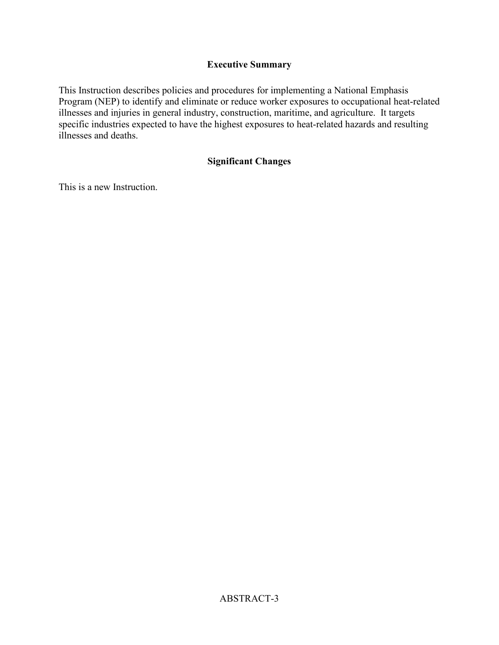## **Executive Summary**

This Instruction describes policies and procedures for implementing a National Emphasis Program (NEP) to identify and eliminate or reduce worker exposures to occupational heat-related illnesses and injuries in general industry, construction, maritime, and agriculture. It targets specific industries expected to have the highest exposures to heat-related hazards and resulting illnesses and deaths.

## **Significant Changes**

This is a new Instruction.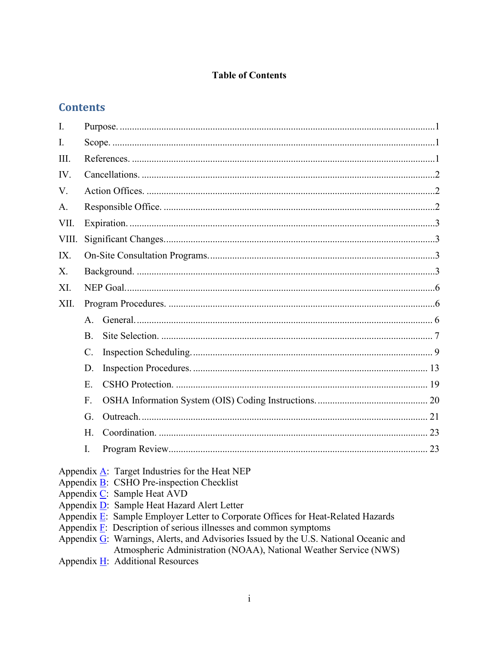## **Table of Contents**

# **Contents**

| I.    |                                                                                                                                                                                                                                                                                             |
|-------|---------------------------------------------------------------------------------------------------------------------------------------------------------------------------------------------------------------------------------------------------------------------------------------------|
| I.    |                                                                                                                                                                                                                                                                                             |
| III.  |                                                                                                                                                                                                                                                                                             |
| IV.   |                                                                                                                                                                                                                                                                                             |
| V.    |                                                                                                                                                                                                                                                                                             |
| A.    |                                                                                                                                                                                                                                                                                             |
| VII.  |                                                                                                                                                                                                                                                                                             |
| VIII. |                                                                                                                                                                                                                                                                                             |
| IX.   |                                                                                                                                                                                                                                                                                             |
| X.    |                                                                                                                                                                                                                                                                                             |
| XI.   |                                                                                                                                                                                                                                                                                             |
| XII.  |                                                                                                                                                                                                                                                                                             |
|       | $A_{\cdot}$                                                                                                                                                                                                                                                                                 |
|       | <b>B.</b>                                                                                                                                                                                                                                                                                   |
|       | $\mathcal{C}$ .                                                                                                                                                                                                                                                                             |
|       | D.                                                                                                                                                                                                                                                                                          |
|       | E.                                                                                                                                                                                                                                                                                          |
|       | F.                                                                                                                                                                                                                                                                                          |
|       | G.                                                                                                                                                                                                                                                                                          |
|       | H.                                                                                                                                                                                                                                                                                          |
|       | I.                                                                                                                                                                                                                                                                                          |
|       | Appendix $\underline{A}$ : Target Industries for the Heat NEP<br>Appendix $\underline{B}$ : CSHO Pre-inspection Checklist<br>Appendix C: Sample Heat AVD<br>Appendix D: Sample Heat Hazard Alert Letter<br>Appendix E: Sample Employer Letter to Corporate Offices for Heat-Related Hazards |

- 
- Appendix  $\overline{F}$ : Description of serious illnesses and common symptoms<br>Appendix  $\overline{G}$ : Warnings, Alerts, and Advisories Issued by the U.S. National Oceanic and Atmospheric Administration (NOAA), National Weather Service (NWS)
- Appendix  $\underline{H}$ : Additional Resources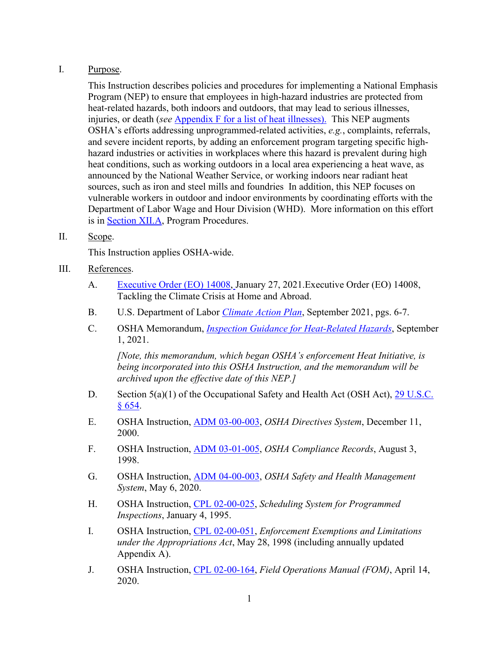#### <span id="page-4-1"></span>I. Purpose.

This Instruction describes policies and procedures for implementing a National Emphasis Program (NEP) to ensure that employees in high-hazard industries are protected from heat-related hazards, both indoors and outdoors, that may lead to serious illnesses, injuries, or death (*see* [Appendix F](#page-38-0) for a list of heat illnesses). This NEP augments OSHA's efforts addressing unprogrammed-related activities, *e.g.*, complaints, referrals, and severe incident reports, by adding an enforcement program targeting specific highhazard industries or activities in workplaces where this hazard is prevalent during high heat conditions, such as working outdoors in a local area experiencing a heat wave, as announced by the National Weather Service, or working indoors near radiant heat sources, such as iron and steel mills and foundries In addition, this NEP focuses on vulnerable workers in outdoor and indoor environments by coordinating efforts with the Department of Labor Wage and Hour Division (WHD). More information on this effort is in [Section XII.A,](#page-9-3) Program Procedures.

#### <span id="page-4-2"></span>II. Scope.

This Instruction applies OSHA-wide.

- <span id="page-4-0"></span>III. References.
	- A. [Executive Order \(EO\) 14008,](https://www.whitehouse.gov/briefing-room/presidential-actions/2021/01/27/executive-order-on-tackling-the-climate-crisis-at-home-and-abroad/) January 27, 2021.Executive Order (EO) 14008, Tackling the Climate Crisis at Home and Abroad.
	- B. U.S. Department of Labor *[Climate Action Plan](https://www.sustainability.gov/pdfs/dol-2021-cap.pdf)*, September 2021, pgs. 6-7.
	- C. OSHA Memorandum, *[Inspection Guidance for Heat-Related Hazards](https://www.osha.gov/laws-regs/standardinterpretations/2021-09-01)*, September 1, 2021.

*[Note, this memorandum, which began OSHA's enforcement Heat Initiative, is being incorporated into this OSHA Instruction, and the memorandum will be archived upon the effective date of this NEP.]* 

- D. Section 5(a)(1) of the Occupational Safety and Health Act (OSH Act), 29 U.S.C. [§ 654.](https://www.osha.gov/laws-regs/oshact/section5-duties)
- E. OSHA Instruction, [ADM 03-00-003,](https://www.osha.gov/enforcement/directives/adm-03-00-003) *OSHA Directives System*, December 11, 2000.
- F. OSHA Instruction, [ADM 03-01-005,](https://www.osha.gov/enforcement/directives/adm-03-01-005) *OSHA Compliance Records*, August 3, 1998.
- G. OSHA Instruction, [ADM 04-00-003,](https://www.osha.gov/enforcement/directives/adm-04-00-003) *OSHA Safety and Health Management System*, May 6, 2020.
- H. OSHA Instruction, [CPL 02-00-025,](https://www.osha.gov/enforcement/directives/cpl-02-00-025) *Scheduling System for Programmed Inspections*, January 4, 1995.
- I. OSHA Instruction, [CPL 02-00-051,](https://www.osha.gov/enforcement/directives/cpl-02-00-051) *Enforcement Exemptions and Limitations under the Appropriations Act*, May 28, 1998 (including annually updated Appendix A).
- J. OSHA Instruction, [CPL 02-00-164,](https://www.osha.gov/enforcement/directives/cpl-02-00-164) *Field Operations Manual (FOM)*, April 14, 2020.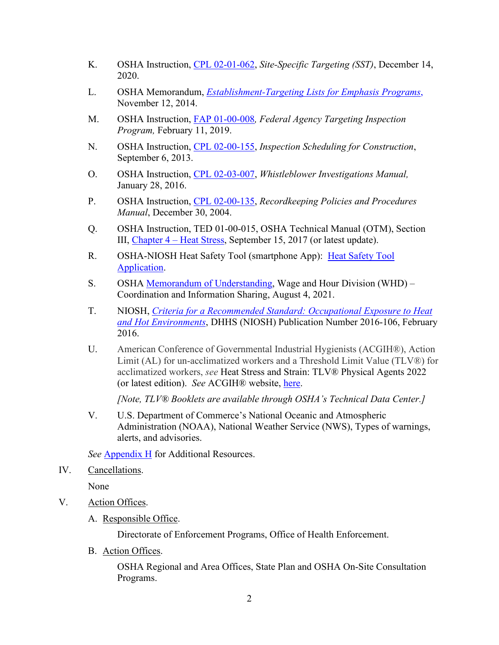- K. OSHA Instruction, [CPL 02-01-062,](https://www.osha.gov/enforcement/directives/cpl-02-01-062) *Site-Specific Targeting (SST)*, December 14, 2020.
- L. OSHA Memorandum, *[Establishment-Targeting Lists for Emphasis Programs](https://www.osha.gov/memos/2014-11-12/establishment-targeting-lists-emphasis-programs)*, November 12, 2014.
- M. OSHA Instruction, [FAP 01-00-008](https://www.osha.gov/enforcement/directives/fap-01-00-008)*, Federal Agency Targeting Inspection Program,* February 11, 2019.
- N. OSHA Instruction, [CPL 02-00-155,](https://www.osha.gov/enforcement/directives/cpl-02-00-155) *Inspection Scheduling for Construction*, September 6, 2013.
- O. OSHA Instruction, [CPL 02-03-007,](http://www.osha.gov/enforcement/directives/cpl-02-03-007) *Whistleblower Investigations Manual,* January 28, 2016.
- P. OSHA Instruction, [CPL 02-00-135,](http://www.osha.gov/enforcement/directives/cpl-02-00-135) *Recordkeeping Policies and Procedures Manual*, December 30, 2004.
- Q. OSHA Instruction, TED 01-00-015, OSHA Technical Manual (OTM), Section III, [Chapter 4 – Heat Stress,](https://www.osha.gov/otm/section-3-health-hazards/chapter-4) September 15, 2017 (or latest update).
- R. OSHA-NIOSH Heat Safety Tool (smartphone App): [Heat Safety Tool](https://www.osha.gov/heat/heat-app)  [Application.](https://www.osha.gov/heat/heat-app)
- S. OSHA [Memorandum of Understanding,](https://www.osha.gov/laws-regs/mou/2021-08-04) Wage and Hour Division (WHD) Coordination and Information Sharing, August 4, 2021.
- T. NIOSH, *[Criteria for a Recommended Standard: Occupational Exposure to Heat](https://www.cdc.gov/niosh/docs/2016-106/default.html)  [and Hot Environments](https://www.cdc.gov/niosh/docs/2016-106/default.html)*, DHHS (NIOSH) Publication Number 2016-106, February 2016.
- U. American Conference of Governmental Industrial Hygienists (ACGIH®), Action Limit (AL) for un-acclimatized workers and a Threshold Limit Value (TLV®) for acclimatized workers, *see* Heat Stress and Strain: TLV® Physical Agents 2022 (or latest edition). *See* ACGIH® website, [here.](https://www.acgih.org/)

*[Note, TLV® Booklets are available through OSHA's Technical Data Center.]*

V. U.S. Department of Commerce's National Oceanic and Atmospheric Administration (NOAA), National Weather Service (NWS), Types of warnings, alerts, and advisories.

*See* [Appendix H](#page-40-0) for Additional Resources.

<span id="page-5-0"></span>IV. Cancellations.

None

- <span id="page-5-2"></span><span id="page-5-1"></span>V. Action Offices.
	- A. Responsible Office.

Directorate of Enforcement Programs, Office of Health Enforcement.

B. Action Offices.

OSHA Regional and Area Offices, State Plan and OSHA On-Site Consultation Programs.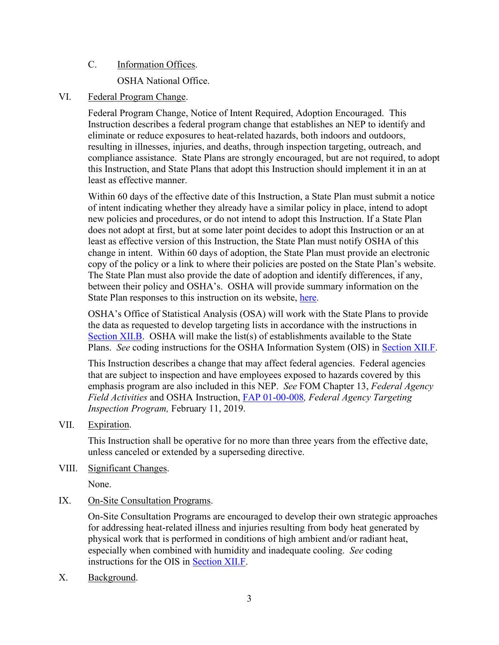# C. Information Offices.

OSHA National Office.

#### <span id="page-6-0"></span>VI. Federal Program Change.

Federal Program Change, Notice of Intent Required, Adoption Encouraged. This Instruction describes a federal program change that establishes an NEP to identify and eliminate or reduce exposures to heat-related hazards, both indoors and outdoors, resulting in illnesses, injuries, and deaths, through inspection targeting, outreach, and compliance assistance. State Plans are strongly encouraged, but are not required, to adopt this Instruction, and State Plans that adopt this Instruction should implement it in an at least as effective manner.

Within 60 days of the effective date of this Instruction, a State Plan must submit a notice of intent indicating whether they already have a similar policy in place, intend to adopt new policies and procedures, or do not intend to adopt this Instruction. If a State Plan does not adopt at first, but at some later point decides to adopt this Instruction or an at least as effective version of this Instruction, the State Plan must notify OSHA of this change in intent. Within 60 days of adoption, the State Plan must provide an electronic copy of the policy or a link to where their policies are posted on the State Plan's website. The State Plan must also provide the date of adoption and identify differences, if any, between their policy and OSHA's. OSHA will provide summary information on the State Plan responses to this instruction on its website, [here.](https://www.osha.gov/stateplans/adoption)

OSHA's Office of Statistical Analysis (OSA) will work with the State Plans to provide the data as requested to develop targeting lists in accordance with the instructions in [Section XII.B.](#page-10-1) OSHA will make the list(s) of establishments available to the State Plans. *See* coding instructions for the OSHA Information System (OIS) in [Section XII.F.](#page-23-0)

This Instruction describes a change that may affect federal agencies. Federal agencies that are subject to inspection and have employees exposed to hazards covered by this emphasis program are also included in this NEP. *See* [FOM](https://gcc02.safelinks.protection.outlook.com/?url=https%3A%2F%2Fwww.osha.gov%2Fenforcement%2Fdirectives%2Fcpl-02-00-164&data=04%7C01%7CSmith.Suzanne%40dol.gov%7C01e1cbe5ffea461e543208d93684a06f%7C75a6305472044e0c9126adab971d4aca%7C0%7C0%7C637600765532644163%7CUnknown%7CTWFpbGZsb3d8eyJWIjoiMC4wLjAwMDAiLCJQIjoiV2luMzIiLCJBTiI6Ik1haWwiLCJXVCI6Mn0%3D%7C1000&sdata=UFX8jJaavj%2BufXqJ0YkbkvzV1D7Ky1uYKq4PvfDa%2FOA%3D&reserved=0) Chapter 13, *Federal Agency Field Activities* and OSHA Instruction, [FAP 01-00-008](https://www.osha.gov/enforcement/directives/fap-01-00-008)*, Federal Agency Targeting Inspection Program,* February 11, 2019.

<span id="page-6-1"></span>VII. Expiration.

This Instruction shall be operative for no more than three years from the effective date, unless canceled or extended by a superseding directive.

#### <span id="page-6-2"></span>VIII. Significant Changes.

None.

<span id="page-6-3"></span>IX. On-Site Consultation Programs.

On-Site Consultation Programs are encouraged to develop their own strategic approaches for addressing heat-related illness and injuries resulting from body heat generated by physical work that is performed in conditions of high ambient and/or radiant heat, especially when combined with humidity and inadequate cooling. *See* coding instructions for the OIS in [Section XII.F.](#page-23-0)

<span id="page-6-4"></span>X. Background.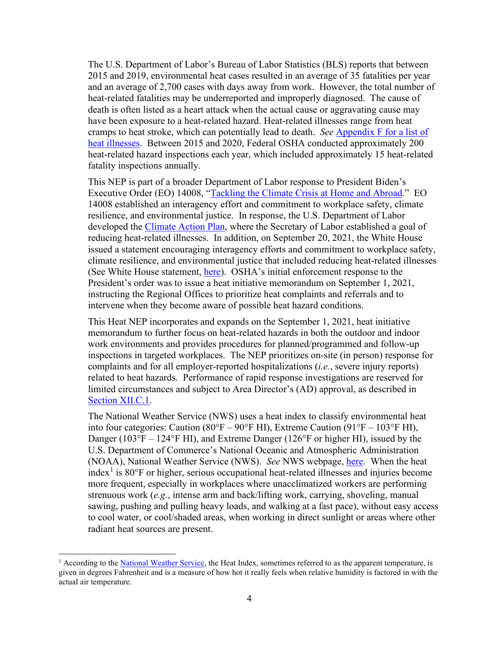The U.S. Department of Labor's Bureau of Labor Statistics (BLS) reports that between 2015 and 2019, environmental heat cases resulted in an average of 35 fatalities per year and an average of 2,700 cases with days away from work. However, the total number of heat-related fatalities may be underreported and improperly diagnosed. The cause of death is often listed as a heart attack when the actual cause or aggravating cause may have been exposure to a heat-related hazard. Heat-related illnesses range from heat cramps to heat stroke, which can potentially lead to death. *See* [Appendix F](#page-38-0) for a list of heat illnesses. Between 2015 and 2020, Federal OSHA conducted approximately 200 heat-related hazard inspections each year, which included approximately 15 heat-related fatality inspections annually.

This NEP is part of a broader Department of Labor response to President Biden's Executive Order (EO) 14008, ["Tackling the Climate Crisis at Home and Abroad.](https://www.whitehouse.gov/briefing-room/presidential-actions/2021/01/27/executive-order-on-tackling-the-climate-crisis-at-home-and-abroad/)" EO 14008 established an interagency effort and commitment to workplace safety, climate resilience, and environmental justice. In response, the U.S. Department of Labor developed the [Climate Action Plan,](https://www.sustainability.gov/pdfs/dol-2021-cap.pdf) where the Secretary of Labor established a goal of reducing heat-related illnesses. In addition, on September 20, 2021, the White House issued a statement encouraging interagency efforts and commitment to workplace safety, climate resilience, and environmental justice that included reducing heat-related illnesses (See White House statement, [here\)](http://www.whitehouse.gov/briefing-room/statements-releases/2021/09/20/fact-sheet-biden-administration-mobilizes-to-protect-workers-and-communities-from-extreme-heat/). OSHA's initial enforcement response to the President's order was to issue a heat initiative memorandum on September 1, 2021, instructing the Regional Offices to prioritize heat complaints and referrals and to intervene when they become aware of possible heat hazard conditions.

This Heat NEP incorporates and expands on the September 1, 2021, heat initiative memorandum to further focus on heat-related hazards in both the outdoor and indoor work environments and provides procedures for planned/programmed and follow-up inspections in targeted workplaces. The NEP prioritizes on-site (in person) response for complaints and for all employer-reported hospitalizations (*i.e.*, severe injury reports) related to heat hazards. Performance of rapid response investigations are reserved for limited circumstances and subject to Area Director's (AD) approval, as described in [Section XII.C.1.](#page-13-0)

The National Weather Service (NWS) uses a heat index to classify environmental heat into four categories: Caution (80°F – 90°F HI), Extreme Caution (91°F – 103°F HI), Danger (103°F – 124°F HI), and Extreme Danger (126°F or higher HI), issued by the U.S. Department of Commerce's National Oceanic and Atmospheric Administration (NOAA), National Weather Service (NWS). *See* NWS webpage, [here.](https://www.weather.gov/safety/heat-index) When the heat index<sup>[1](#page-7-0)</sup> is 80 $\degree$ F or higher, serious occupational heat-related illnesses and injuries become more frequent, especially in workplaces where unacclimatized workers are performing strenuous work (*e.g.*, intense arm and back/lifting work, carrying, shoveling, manual sawing, pushing and pulling heavy loads, and walking at a fast pace), without easy access to cool water, or cool/shaded areas, when working in direct sunlight or areas where other radiant heat sources are present.

<span id="page-7-0"></span> $<sup>1</sup>$  According to th[e National Weather Service,](https://www.weather.gov/bgm/heat) the Heat Index, sometimes referred to as the apparent temperature, is</sup> given in degrees Fahrenheit and is a measure of how hot it really feels when relative humidity is factored in with the actual air temperature.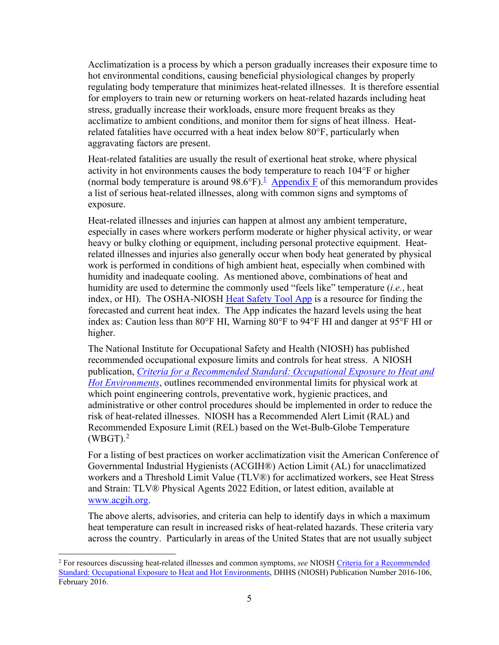Acclimatization is a process by which a person gradually increases their exposure time to hot environmental conditions, causing beneficial physiological changes by properly regulating body temperature that minimizes heat-related illnesses. It is therefore essential for employers to train new or returning workers on heat-related hazards including heat stress, gradually increase their workloads, ensure more frequent breaks as they acclimatize to ambient conditions, and monitor them for signs of heat illness. Heatrelated fatalities have occurred with a heat index below 80°F, particularly when aggravating factors are present.

Heat-related fatalities are usually the result of exertional heat stroke, where physical activity in hot environments causes the body temperature to reach 104°F or higher (normal body temperature is around  $98.6^{\circ}F$ ).<sup>1</sup> [Appendix F](#page-38-0) of this memorandum provides a list of serious heat-related illnesses, along with common signs and symptoms of exposure.

Heat-related illnesses and injuries can happen at almost any ambient temperature, especially in cases where workers perform moderate or higher physical activity, or wear heavy or bulky clothing or equipment, including personal protective equipment. Heatrelated illnesses and injuries also generally occur when body heat generated by physical work is performed in conditions of high ambient heat, especially when combined with humidity and inadequate cooling. As mentioned above, combinations of heat and humidity are used to determine the commonly used "feels like" temperature (*i.e.*, heat index, or HI). The OSHA-NIOSH [Heat Safety Tool App](https://www.osha.gov/heat/heat-app) is a resource for finding the forecasted and current heat index. The App indicates the hazard levels using the heat index as: Caution less than 80°F HI, Warning 80°F to 94°F HI and danger at 95°F HI or higher.

The National Institute for Occupational Safety and Health (NIOSH) has published recommended occupational exposure limits and controls for heat stress. A NIOSH publication, *Criteria for a Recommended Standard: Occupational Exposure to Heat and Hot Environments*, outlines recommended environmental limits for physical work at which point engineering controls, preventative work, hygienic practices, and administrative or other control procedures should be implemented in order to reduce the risk of heat-related illnesses. NIOSH has a Recommended Alert Limit (RAL) and Recommended Exposure Limit (REL) based on the Wet-Bulb-Globe Temperature  $(WBGT).<sup>2</sup>$  $(WBGT).<sup>2</sup>$  $(WBGT).<sup>2</sup>$ 

For a listing of best practices on worker acclimatization visit the American Conference of Governmental Industrial Hygienists (ACGIH®) Action Limit (AL) for unacclimatized workers and a Threshold Limit Value (TLV®) for acclimatized workers, see Heat Stress and Strain: TLV® Physical Agents 2022 Edition, or latest edition, available at [www.acgih.org.](https://www.acgih.org/)

The above alerts, advisories, and criteria can help to identify days in which a maximum heat temperature can result in increased risks of heat-related hazards. These criteria vary across the country. Particularly in areas of the United States that are not usually subject

<span id="page-8-0"></span><sup>2</sup> For resources discussing heat-related illnesses and common symptoms, *see* NIOSH [Criteria for a Recommended](https://www.cdc.gov/niosh/docs/2016-106/default.html)  [Standard: Occupational Exposure to Heat and Hot Environments,](https://www.cdc.gov/niosh/docs/2016-106/default.html) DHHS (NIOSH) Publication Number 2016-106, February 2016.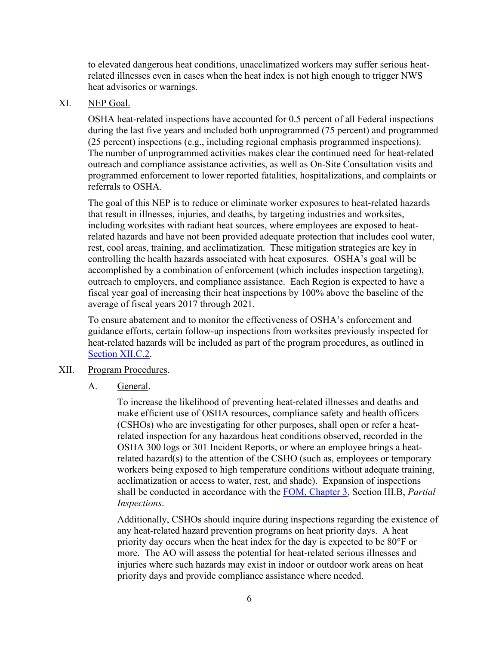to elevated dangerous heat conditions, unacclimatized workers may suffer serious heatrelated illnesses even in cases when the heat index is not high enough to trigger NWS heat advisories or warnings.

#### <span id="page-9-0"></span>XI. NEP Goal.

OSHA heat-related inspections have accounted for 0.5 percent of all Federal inspections during the last five years and included both unprogrammed (75 percent) and programmed (25 percent) inspections (e.g., including regional emphasis programmed inspections). The number of unprogrammed activities makes clear the continued need for heat-related outreach and compliance assistance activities, as well as On-Site Consultation visits and programmed enforcement to lower reported fatalities, hospitalizations, and complaints or referrals to OSHA.

<span id="page-9-4"></span>The goal of this NEP is to reduce or eliminate worker exposures to heat-related hazards that result in illnesses, injuries, and deaths, by targeting industries and worksites, including worksites with radiant heat sources, where employees are exposed to heatrelated hazards and have not been provided adequate protection that includes cool water, rest, cool areas, training, and acclimatization. These mitigation strategies are key in controlling the health hazards associated with heat exposures. OSHA's goal will be accomplished by a combination of enforcement (which includes inspection targeting), outreach to employers, and compliance assistance. Each Region is expected to have a fiscal year goal of increasing their heat inspections by 100% above the baseline of the average of fiscal years 2017 through 2021.

To ensure abatement and to monitor the effectiveness of OSHA's enforcement and guidance efforts, certain follow-up inspections from worksites previously inspected for heat-related hazards will be included as part of the program procedures, as outlined in [Section XII.C.2.](#page-14-0)

- <span id="page-9-2"></span><span id="page-9-1"></span>XII. Program Procedures.
	- A. General.

<span id="page-9-3"></span>To increase the likelihood of preventing heat-related illnesses and deaths and make efficient use of OSHA resources, compliance safety and health officers (CSHOs) who are investigating for other purposes, shall open or refer a heatrelated inspection for any hazardous heat conditions observed, recorded in the OSHA 300 logs or 301 Incident Reports, or where an employee brings a heatrelated hazard(s) to the attention of the CSHO (such as, employees or temporary workers being exposed to high temperature conditions without adequate training, acclimatization or access to water, rest, and shade). Expansion of inspections shall be conducted in accordance with the [FOM, Chapter 3,](https://www.osha.gov/enforcement/directives/cpl-02-00-164/chapter-3) Section III.B, *Partial Inspections*.

Additionally, CSHOs should inquire during inspections regarding the existence of any heat-related hazard prevention programs on heat priority days. A heat priority day occurs when the heat index for the day is expected to be 80°F or more. The AO will assess the potential for heat-related serious illnesses and injuries where such hazards may exist in indoor or outdoor work areas on heat priority days and provide compliance assistance where needed.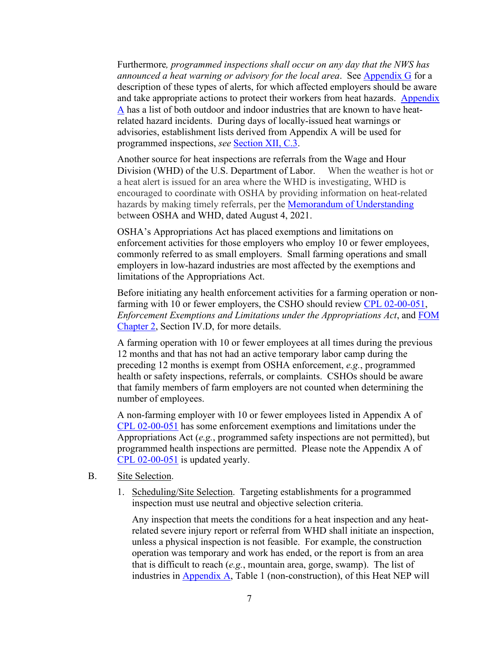Furthermore*, programmed inspections shall occur on any day that the NWS has announced a heat warning or advisory for the local area*. See [Appendix G](#page-39-0) for a description of these types of alerts, for which affected employers should be aware and take appropriate actions to protect their workers from heat hazards. [Appendix](#page-27-0)  [A](#page-27-0) has a list of both outdoor and indoor industries that are known to have heatrelated hazard incidents. During days of locally-issued heat warnings or advisories, establishment lists derived from Appendix A will be used for programmed inspections, *see* [Section XII, C.3.](#page-14-1)

Another source for heat inspections are referrals from the Wage and Hour Division (WHD) of the U.S. Department of Labor. When the weather is hot or a heat alert is issued for an area where the WHD is investigating, WHD is encouraged to coordinate with OSHA by providing information on heat-related hazards by making timely referrals, per the [Memorandum of Understanding](https://www.osha.gov/laws-regs/mou/2021-08-04) between OSHA and WHD, dated August 4, 2021.

OSHA's Appropriations Act has placed exemptions and limitations on enforcement activities for those employers who employ 10 or fewer employees, commonly referred to as small employers. Small farming operations and small employers in low-hazard industries are most affected by the exemptions and limitations of the Appropriations Act.

Before initiating any health enforcement activities for a farming operation or non-farming with 10 or fewer employers, the CSHO should review [CPL 02-00-051,](https://www.osha.gov/enforcement/directives/cpl-02-00-051) *Enforcement Exemptions and Limitations under the Appropriations Act*, and [FOM](https://www.osha.gov/enforcement/directives/cpl-02-00-164/chapter-2)  [Chapter 2,](https://www.osha.gov/enforcement/directives/cpl-02-00-164/chapter-2) Section IV.D, for more details.

A farming operation with 10 or fewer employees at all times during the previous 12 months and that has not had an active temporary labor camp during the preceding 12 months is exempt from OSHA enforcement, *e.g.*, programmed health or safety inspections, referrals, or complaints. CSHOs should be aware that family members of farm employers are not counted when determining the number of employees.

A non-farming employer with 10 or fewer employees listed in Appendix A of [CPL 02-00-051](https://www.osha.gov/enforcement/directives/cpl-02-00-051) has some enforcement exemptions and limitations under the Appropriations Act (*e.g.*, programmed safety inspections are not permitted), but programmed health inspections are permitted. Please note the Appendix A of [CPL 02-00-051](https://www.osha.gov/enforcement/directives/cpl-02-00-051) is updated yearly.

- <span id="page-10-1"></span><span id="page-10-0"></span>B. Site Selection.
	- 1. Scheduling/Site Selection. Targeting establishments for a programmed inspection must use neutral and objective selection criteria.

 Any inspection that meets the conditions for a heat inspection and any heatrelated severe injury report or referral from WHD shall initiate an inspection, unless a physical inspection is not feasible. For example, the construction operation was temporary and work has ended, or the report is from an area that is difficult to reach (*e.g.*, mountain area, gorge, swamp). The list of industries in [Appendix A,](#page-27-0) Table 1 (non-construction), of this Heat NEP will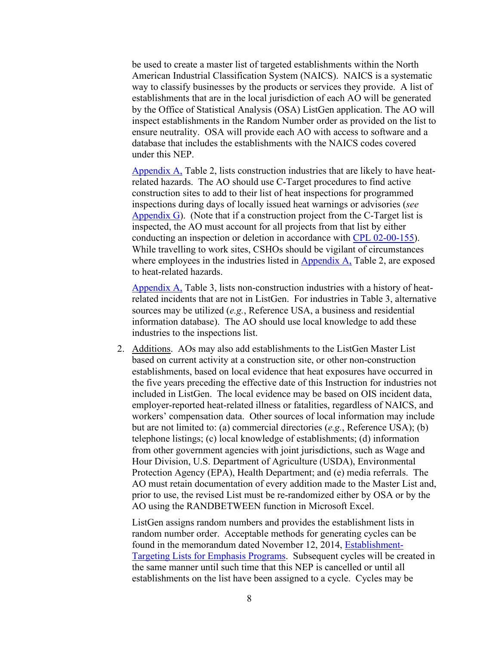be used to create a master list of targeted establishments within the North American Industrial Classification System (NAICS). NAICS is a systematic way to classify businesses by the products or services they provide. A list of establishments that are in the local jurisdiction of each AO will be generated by the Office of Statistical Analysis (OSA) ListGen application. The AO will inspect establishments in the Random Number order as provided on the list to ensure neutrality. OSA will provide each AO with access to software and a database that includes the establishments with the NAICS codes covered under this NEP.

[Appendix A,](#page-27-0) Table 2, lists construction industries that are likely to have heatrelated hazards. The AO should use C-Target procedures to find active construction sites to add to their list of heat inspections for programmed inspections during days of locally issued heat warnings or advisories (*see*  [Appendix G\)](#page-39-0). (Note that if a construction project from the C-Target list is inspected, the AO must account for all projects from that list by either conducting an inspection or deletion in accordance with [CPL 02-00-155\)](https://www.osha.gov/enforcement/directives/cpl-02-00-155). While travelling to work sites, CSHOs should be vigilant of circumstances where employees in the industries listed in [Appendix A,](#page-27-0) Table 2, are exposed to heat-related hazards.

[Appendix A,](#page-27-0) Table 3, lists non-construction industries with a history of heatrelated incidents that are not in ListGen. For industries in Table 3, alternative sources may be utilized (*e.g.*, Reference USA, a business and residential information database). The AO should use local knowledge to add these industries to the inspections list.

2. Additions. AOs may also add establishments to the ListGen Master List based on current activity at a construction site, or other non-construction establishments, based on local evidence that heat exposures have occurred in the five years preceding the effective date of this Instruction for industries not included in ListGen. The local evidence may be based on OIS incident data, employer-reported heat-related illness or fatalities, regardless of NAICS, and workers' compensation data. Other sources of local information may include but are not limited to: (a) commercial directories (*e.g.*, Reference USA); (b) telephone listings; (c) local knowledge of establishments; (d) information from other government agencies with joint jurisdictions, such as Wage and Hour Division, U.S. Department of Agriculture (USDA), Environmental Protection Agency (EPA), Health Department; and (e) media referrals. The AO must retain documentation of every addition made to the Master List and, prior to use, the revised List must be re-randomized either by OSA or by the AO using the RANDBETWEEN function in Microsoft Excel.

ListGen assigns random numbers and provides the establishment lists in random number order. Acceptable methods for generating cycles can be found in the memorandum dated November 12, 2014, [Establishment-](https://www.osha.gov/memos/2014-11-12/establishment-targeting-lists-emphasis-programs)[Targeting Lists for Emphasis Programs.](https://www.osha.gov/memos/2014-11-12/establishment-targeting-lists-emphasis-programs) Subsequent cycles will be created in the same manner until such time that this NEP is cancelled or until all establishments on the list have been assigned to a cycle. Cycles may be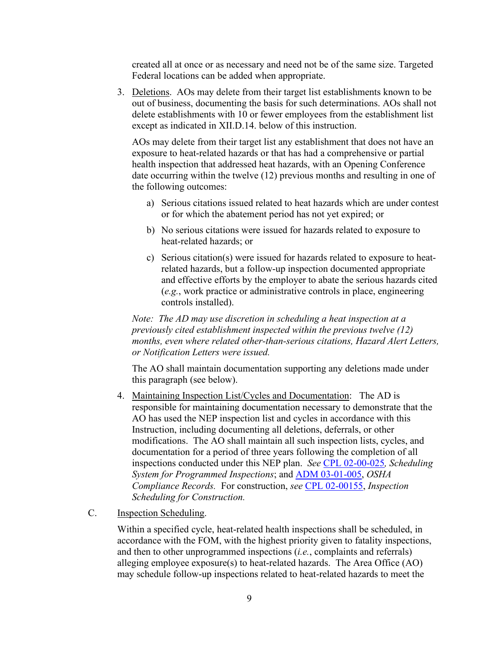created all at once or as necessary and need not be of the same size. Targeted Federal locations can be added when appropriate.

<span id="page-12-1"></span>3. Deletions. AOs may delete from their target list establishments known to be out of business, documenting the basis for such determinations. AOs shall not delete establishments with 10 or fewer employees from the establishment list except as indicated in XII.D.14. below of this instruction.

AOs may delete from their target list any establishment that does not have an exposure to heat-related hazards or that has had a comprehensive or partial health inspection that addressed heat hazards, with an Opening Conference date occurring within the twelve (12) previous months and resulting in one of the following outcomes:

- a) Serious citations issued related to heat hazards which are under contest or for which the abatement period has not yet expired; or
- b) No serious citations were issued for hazards related to exposure to heat-related hazards; or
- c) Serious citation(s) were issued for hazards related to exposure to heatrelated hazards, but a follow-up inspection documented appropriate and effective efforts by the employer to abate the serious hazards cited (*e.g.*, work practice or administrative controls in place, engineering controls installed).

*Note: The AD may use discretion in scheduling a heat inspection at a previously cited establishment inspected within the previous twelve (12) months, even where related other-than-serious citations, Hazard Alert Letters, or Notification Letters were issued.* 

The AO shall maintain documentation supporting any deletions made under this paragraph (see below).

- 4. Maintaining Inspection List/Cycles and Documentation: The AD is responsible for maintaining documentation necessary to demonstrate that the AO has used the NEP inspection list and cycles in accordance with this Instruction, including documenting all deletions, deferrals, or other modifications. The AO shall maintain all such inspection lists, cycles, and documentation for a period of three years following the completion of all inspections conducted under this NEP plan. *See* [CPL 02-00-025](https://www.osha.gov/enforcement/directives/cpl-02-00-025)*, Scheduling System for Programmed Inspections*; and [ADM 03-01-005,](https://www.osha.gov/enforcement/directives/adm-03-01-005) *OSHA Compliance Records.* For construction, *see* [CPL 02-00155,](https://www.osha.gov/enforcement/directives/cpl-02-00-155) *Inspection Scheduling for Construction.*
- <span id="page-12-0"></span>C. Inspection Scheduling.

Within a specified cycle, heat-related health inspections shall be scheduled, in accordance with the FOM, with the highest priority given to fatality inspections, and then to other unprogrammed inspections (*i.e.*, complaints and referrals) alleging employee exposure(s) to heat-related hazards. The Area Office (AO) may schedule follow-up inspections related to heat-related hazards to meet the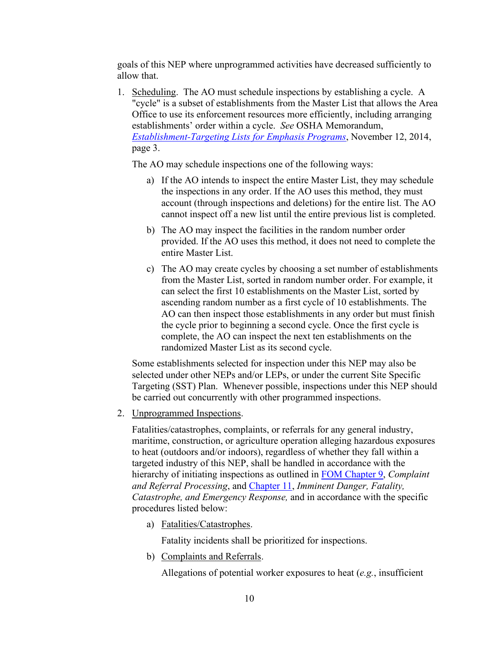goals of this NEP where unprogrammed activities have decreased sufficiently to allow that.

1. Scheduling. The AO must schedule inspections by establishing a cycle. A "cycle" is a subset of establishments from the Master List that allows the Area Office to use its enforcement resources more efficiently, including arranging establishments' order within a cycle. *See* OSHA Memorandum, *[Establishment-Targeting Lists for Emphasis Programs](http://www.osha.gov/memos/2014-11-12/establishment-targeting-lists-emphasis-programs)*, November 12, 2014, page 3.

The AO may schedule inspections one of the following ways:

- a) If the AO intends to inspect the entire Master List, they may schedule the inspections in any order. If the AO uses this method, they must account (through inspections and deletions) for the entire list. The AO cannot inspect off a new list until the entire previous list is completed.
- b) The AO may inspect the facilities in the random number order provided. If the AO uses this method, it does not need to complete the entire Master List.
- c) The AO may create cycles by choosing a set number of establishments from the Master List, sorted in random number order. For example, it can select the first 10 establishments on the Master List, sorted by ascending random number as a first cycle of 10 establishments. The AO can then inspect those establishments in any order but must finish the cycle prior to beginning a second cycle. Once the first cycle is complete, the AO can inspect the next ten establishments on the randomized Master List as its second cycle.

Some establishments selected for inspection under this NEP may also be selected under other NEPs and/or LEPs, or under the current [Site Specific](https://www.osha.gov/enforcement/directives/cpl-02-01-062)  [Targeting \(SST\) Plan.](https://www.osha.gov/enforcement/directives/cpl-02-01-062) Whenever possible, inspections under this NEP should be carried out concurrently with other programmed inspections.

<span id="page-13-0"></span>2. Unprogrammed Inspections.

Fatalities/catastrophes, complaints, or referrals for any general industry, maritime, construction, or agriculture operation alleging hazardous exposures to heat (outdoors and/or indoors), regardless of whether they fall within a targeted industry of this NEP, shall be handled in accordance with the hierarchy of initiating inspections as outlined in FOM [Chapter 9,](https://www.osha.gov/enforcement/directives/cpl-02-00-164/chapter-9) *Complaint and Referral Processing*, and [Chapter 11,](https://www.osha.gov/enforcement/directives/cpl-02-00-164/chapter-11) *Imminent Danger, Fatality, Catastrophe, and Emergency Response,* and in accordance with the specific procedures listed below:

a) Fatalities/Catastrophes.

Fatality incidents shall be prioritized for inspections.

b) Complaints and Referrals.

Allegations of potential worker exposures to heat (*e.g.*, insufficient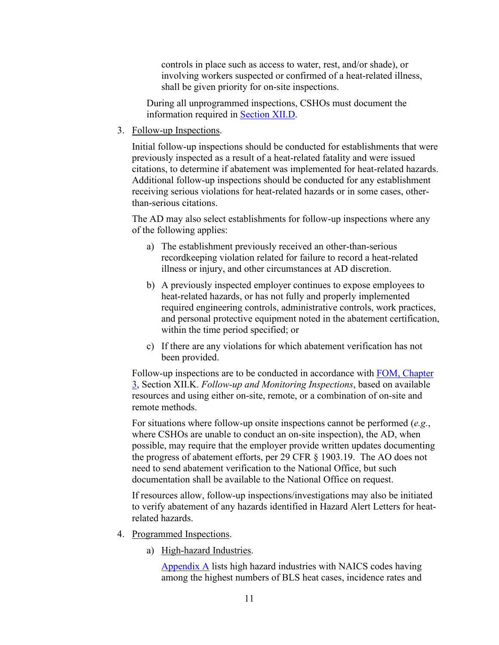controls in place such as access to water, rest, and/or shade), or involving workers suspected or confirmed of a heat-related illness, shall be given priority for on-site inspections.

During all unprogrammed inspections, CSHOs must document the information required in [Section XII.D.](#page-16-0)

<span id="page-14-0"></span>3. Follow-up Inspections.

Initial follow-up inspections should be conducted for establishments that were previously inspected as a result of a heat-related fatality and were issued citations, to determine if abatement was implemented for heat-related hazards. Additional follow-up inspections should be conducted for any establishment receiving serious violations for heat-related hazards or in some cases, otherthan-serious citations.

The AD may also select establishments for follow-up inspections where any of the following applies:

- a) The establishment previously received an other-than-serious recordkeeping violation related for failure to record a heat-related illness or injury, and other circumstances at AD discretion.
- b) A previously inspected employer continues to expose employees to heat-related hazards, or has not fully and properly implemented required engineering controls, administrative controls, work practices, and personal protective equipment noted in the abatement certification, within the time period specified; or
- c) If there are any violations for which abatement verification has not been provided.

Follow-up inspections are to be conducted in accordance with [FOM, Chapter](https://www.osha.gov/enforcement/directives/cpl-02-00-164/chapter-3)  [3,](https://www.osha.gov/enforcement/directives/cpl-02-00-164/chapter-3) Section XII.K. *Follow-up and Monitoring Inspections*, based on available resources and using either on-site, remote, or a combination of on-site and remote methods.

For situations where follow-up onsite inspections cannot be performed (*e.g.*, where CSHOs are unable to conduct an on-site inspection), the AD, when possible, may require that the employer provide written updates documenting the progress of abatement efforts, per 29 CFR § 1903.19. The AO does not need to send abatement verification to the National Office, but such documentation shall be available to the National Office on request.

If resources allow, follow-up inspections/investigations may also be initiated to verify abatement of any hazards identified in Hazard Alert Letters for heatrelated hazards.

- <span id="page-14-1"></span>4. Programmed Inspections.
	- a) High-hazard Industries.

[Appendix A](#page-27-0) lists high hazard industries with NAICS codes having among the highest numbers of BLS heat cases, incidence rates and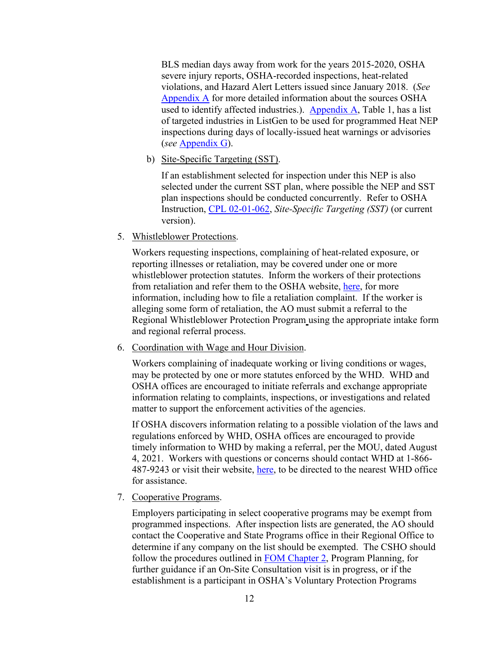BLS median days away from work for the years 2015-2020, OSHA severe injury reports, OSHA-recorded inspections, heat-related violations, and Hazard Alert Letters issued since January 2018. (*See* [Appendix A](#page-27-0) for more detailed information about the sources OSHA used to identify affected industries.). [Appendix A,](#page-27-0) Table 1, has a list of targeted industries in ListGen to be used for programmed Heat NEP inspections during days of locally-issued heat warnings or advisories (*see* [Appendix G\)](#page-39-0).

b) Site-Specific Targeting (SST).

If an establishment selected for inspection under this NEP is also selected under the current SST plan, where possible the NEP and SST plan inspections should be conducted concurrently. Refer to OSHA Instruction, [CPL 02-01-062,](https://www.osha.gov/enforcement/directives/cpl-02-01-062) *Site-Specific Targeting (SST)* (or current version).

5. Whistleblower Protections.

Workers requesting inspections, complaining of heat-related exposure, or reporting illnesses or retaliation, may be covered under one or more whistleblower protection statutes. Inform the workers of their protections from retaliation and refer them to the OSHA website, [here,](https://www.whistleblowers.gov/) for more information, including how to file a retaliation complaint. If the worker is alleging some form of retaliation, the AO must submit a referral to the Regional Whistleblower Protection Program using the appropriate intake form and regional referral process.

6. Coordination with Wage and Hour Division.

Workers complaining of inadequate working or living conditions or wages, may be protected by one or more statutes enforced by the WHD. WHD and OSHA offices are encouraged to initiate referrals and exchange appropriate information relating to complaints, inspections, or investigations and related matter to support the enforcement activities of the agencies.

If OSHA discovers information relating to a possible violation of the laws and regulations enforced by WHD, OSHA offices are encouraged to provide timely information to WHD by making a referral, per the [MOU, dated August](https://www.osha.gov/laws-regs/mou/2021-08-04)  [4, 2021.](https://www.osha.gov/laws-regs/mou/2021-08-04) Workers with questions or concerns should contact WHD at 1-866 487-9243 or visit their website, [here,](https://www.dol.gov/agencies/whd) to be directed to the nearest WHD office for assistance.

7. Cooperative Programs.

Employers participating in select cooperative programs may be exempt from programmed inspections. After inspection lists are generated, the AO should contact the Cooperative and State Programs office in their Regional Office to determine if any company on the list should be exempted. The CSHO should follow the procedures outlined in FOM [Chapter 2,](https://www.osha.gov/enforcement/directives/cpl-02-00-164/chapter-2) Program Planning, for further guidance if an On-Site Consultation visit is in progress, or if the establishment is a participant in OSHA's Voluntary Protection Programs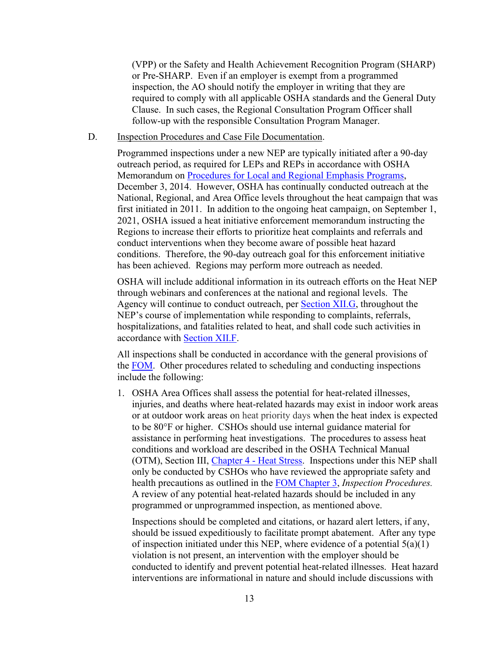(VPP) or the Safety and Health Achievement Recognition Program (SHARP) or Pre-SHARP. Even if an employer is exempt from a programmed inspection, the AO should notify the employer in writing that they are required to comply with all applicable OSHA standards and the General Duty Clause. In such cases, the Regional Consultation Program Officer shall follow-up with the responsible Consultation Program Manager.

#### <span id="page-16-0"></span>D. Inspection Procedures and Case File Documentation.

Programmed inspections under a new NEP are typically initiated after a 90-day outreach period, as required for LEPs and REPs in accordance with OSHA Memorandum on [Procedures for Local and Regional Emphasis Programs,](https://www.osha.gov/memos/2014-12-03/procedures-local-and-regional-emphasis-programs) December 3, 2014. However, OSHA has continually conducted outreach at the National, Regional, and Area Office levels throughout the heat campaign that was first initiated in 2011. In addition to the ongoing heat campaign, on September 1, 2021, OSHA issued a heat initiative enforcement memorandum instructing the Regions to increase their efforts to prioritize heat complaints and referrals and conduct interventions when they become aware of possible heat hazard conditions. Therefore, the 90-day outreach goal for this enforcement initiative has been achieved. Regions may perform more outreach as needed.

OSHA will include additional information in its outreach efforts on the Heat NEP through webinars and conferences at the national and regional levels. The Agency will continue to conduct outreach, per **Section XII.G**, throughout the NEP's course of implementation while responding to complaints, referrals, hospitalizations, and fatalities related to heat, and shall code such activities in accordance with [Section XII.F.](#page-23-0)

All inspections shall be conducted in accordance with the general provisions of the [FOM.](https://www.osha.gov/enforcement/directives/cpl-02-00-164) Other procedures related to scheduling and conducting inspections include the following:

1. OSHA Area Offices shall assess the potential for heat-related illnesses, injuries, and deaths where heat-related hazards may exist in indoor work areas or at outdoor work areas on heat priority days when the heat index is expected to be 80°F or higher. CSHOs should use internal guidance material for assistance in performing heat investigations. The procedures to assess heat conditions and workload are described in the OSHA Technical Manual (OTM), Section III, [Chapter 4 - Heat Stress.](https://www.osha.gov/otm/section-3-health-hazards/chapter-4) Inspections under this NEP shall only be conducted by CSHOs who have reviewed the appropriate safety and health precautions as outlined in the FOM [Chapter 3,](https://www.osha.gov/enforcement/directives/cpl-02-00-164/chapter-3) *Inspection Procedures.* A review of any potential heat-related hazards should be included in any programmed or unprogrammed inspection, as mentioned above.

Inspections should be completed and citations, or hazard alert letters, if any, should be issued expeditiously to facilitate prompt abatement. After any type of inspection initiated under this NEP, where evidence of a potential  $5(a)(1)$ violation is not present, an intervention with the employer should be conducted to identify and prevent potential heat-related illnesses. Heat hazard interventions are informational in nature and should include discussions with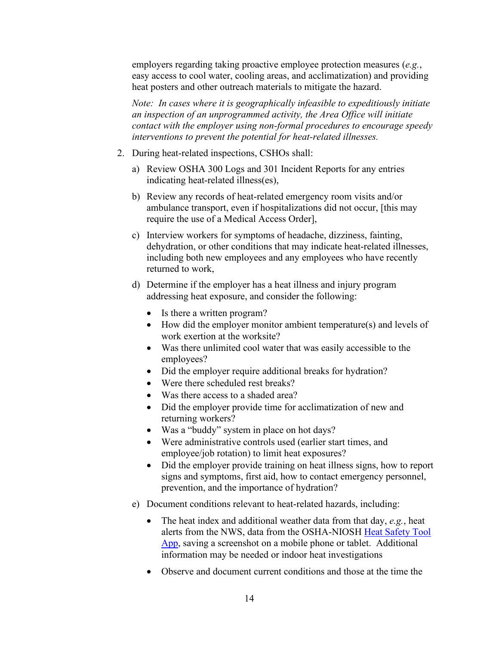employers regarding taking proactive employee protection measures (*e.g.*, easy access to cool water, cooling areas, and acclimatization) and providing heat posters and other outreach materials to mitigate the hazard.

*Note: In cases where it is geographically infeasible to expeditiously initiate an inspection of an unprogrammed activity, the Area Office will initiate contact with the employer using non-formal procedures to encourage speedy interventions to prevent the potential for heat-related illnesses.* 

- 2. During heat-related inspections, CSHOs shall:
	- a) Review OSHA 300 Logs and 301 Incident Reports for any entries indicating heat-related illness(es),
	- b) Review any records of heat-related emergency room visits and/or ambulance transport, even if hospitalizations did not occur, [this may require the use of a Medical Access Order],
	- c) Interview workers for symptoms of headache, dizziness, fainting, dehydration, or other conditions that may indicate heat-related illnesses, including both new employees and any employees who have recently returned to work,
	- d) Determine if the employer has a heat illness and injury program addressing heat exposure, and consider the following:
		- Is there a written program?
		- How did the employer monitor ambient temperature(s) and levels of work exertion at the worksite?
		- Was there unlimited cool water that was easily accessible to the employees?
		- Did the employer require additional breaks for hydration?
		- Were there scheduled rest breaks?
		- Was there access to a shaded area?
		- Did the employer provide time for acclimatization of new and returning workers?
		- Was a "buddy" system in place on hot days?
		- Were administrative controls used (earlier start times, and employee/job rotation) to limit heat exposures?
		- Did the employer provide training on heat illness signs, how to report signs and symptoms, first aid, how to contact emergency personnel, prevention, and the importance of hydration?
	- e) Document conditions relevant to heat-related hazards, including:
		- The heat index and additional weather data from that day, *e.g.*, heat alerts from the NWS, data from the OSHA-NIOSH [Heat Safety Tool](https://www.osha.gov/heat/heat-app)  [App,](https://www.osha.gov/heat/heat-app) saving a screenshot on a mobile phone or tablet. Additional information may be needed or indoor heat investigations
		- Observe and document current conditions and those at the time the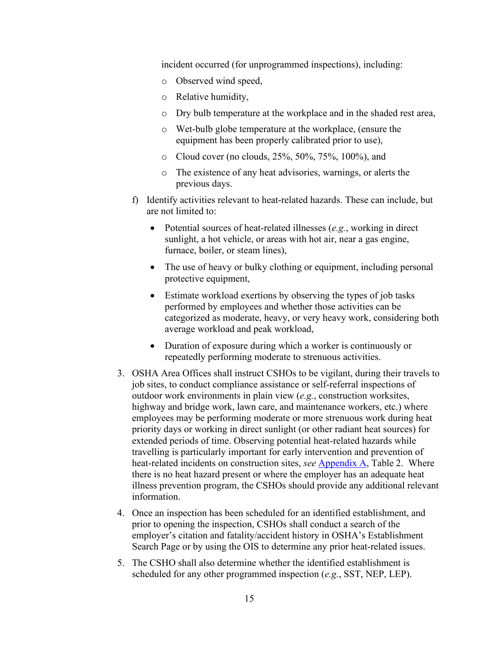incident occurred (for unprogrammed inspections), including:

- o Observed wind speed,
- o Relative humidity,
- o Dry bulb temperature at the workplace and in the shaded rest area,
- o Wet-bulb globe temperature at the workplace, (ensure the equipment has been properly calibrated prior to use),
- o Cloud cover (no clouds, 25%, 50%, 75%, 100%), and
- o The existence of any heat advisories, warnings, or alerts the previous days.
- f) Identify activities relevant to heat-related hazards. These can include, but are not limited to:
	- Potential sources of heat-related illnesses (*e.g.*, working in direct sunlight, a hot vehicle, or areas with hot air, near a gas engine, furnace, boiler, or steam lines),
	- The use of heavy or bulky clothing or equipment, including personal protective equipment,
	- Estimate workload exertions by observing the types of job tasks performed by employees and whether those activities can be categorized as moderate, heavy, or very heavy work, considering both average workload and peak workload,
	- Duration of exposure during which a worker is continuously or repeatedly performing moderate to strenuous activities.
- 3. OSHA Area Offices shall instruct CSHOs to be vigilant, during their travels to job sites, to conduct compliance assistance or self-referral inspections of outdoor work environments in plain view (*e.g.*, construction worksites, highway and bridge work, lawn care, and maintenance workers, etc.) where employees may be performing moderate or more strenuous work during heat priority days or working in direct sunlight (or other radiant heat sources) for extended periods of time. Observing potential heat-related hazards while travelling is particularly important for early intervention and prevention of heat-related incidents on construction sites, *see* [Appendix A,](#page-27-0) Table 2. Where there is no heat hazard present or where the employer has an adequate heat illness prevention program, the CSHOs should provide any additional relevant information.
- 4. Once an inspection has been scheduled for an identified establishment, and prior to opening the inspection, CSHOs shall conduct a search of the employer's citation and fatality/accident history in OSHA's [Establishment](https://www.osha.gov/pls/imis/establishment.html)  [Search Page](https://www.osha.gov/pls/imis/establishment.html) or by using the OIS to determine any prior heat-related issues.
- 5. The CSHO shall also determine whether the identified establishment is scheduled for any other programmed inspection (*e.g.*, SST, NEP, LEP).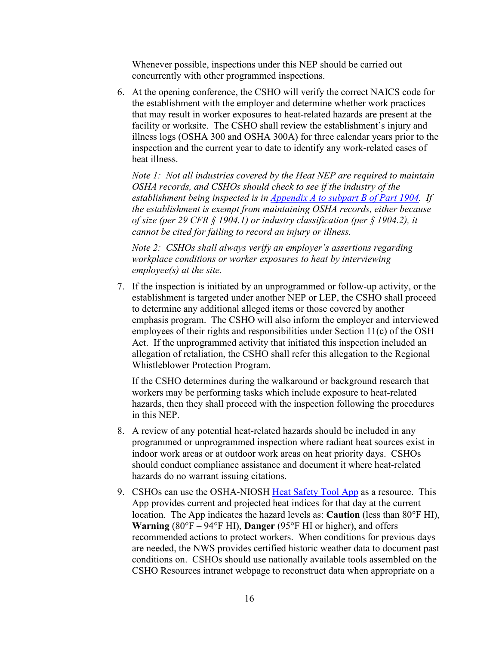Whenever possible, inspections under this NEP should be carried out concurrently with other programmed inspections.

6. At the opening conference, the CSHO will verify the correct NAICS code for the establishment with the employer and determine whether work practices that may result in worker exposures to heat-related hazards are present at the facility or worksite. The CSHO shall review the establishment's injury and illness logs (OSHA 300 and OSHA 300A) for three calendar years prior to the inspection and the current year to date to identify any work-related cases of heat illness.

*Note 1: Not all industries covered by the Heat NEP are required to maintain OSHA records, and CSHOs should check to see if the industry of the establishment being inspected is in [Appendix A to subpart B of Part 1904.](https://www.osha.gov/laws-regs/regulations/standardnumber/1904/1904SubpartBAppA) If the establishment is exempt from maintaining OSHA records, either because of size (per 29 CFR § 1904.1) or industry classification (per § 1904.2), it cannot be cited for failing to record an injury or illness.*

*Note 2: CSHOs shall always verify an employer's assertions regarding workplace conditions or worker exposures to heat by interviewing employee(s) at the site.* 

7. If the inspection is initiated by an unprogrammed or follow-up activity, or the establishment is targeted under another NEP or LEP, the CSHO shall proceed to determine any additional alleged items or those covered by another emphasis program. The CSHO will also inform the employer and interviewed employees of their rights and responsibilities under Section 11(c) of the OSH Act. If the unprogrammed activity that initiated this inspection included an allegation of retaliation, the CSHO shall refer this allegation to the Regional Whistleblower Protection Program.

If the CSHO determines during the walkaround or background research that workers may be performing tasks which include exposure to heat-related hazards, then they shall proceed with the inspection following the procedures in this NEP.

- 8. A review of any potential heat-related hazards should be included in any programmed or unprogrammed inspection where radiant heat sources exist in indoor work areas or at outdoor work areas on heat priority days. CSHOs should conduct compliance assistance and document it where heat-related hazards do no warrant issuing citations.
- 9. CSHOs can use the OSHA-NIOSH [Heat Safety Tool App](https://www.osha.gov/heat/heat-app) as a resource. This App provides current and projected heat indices for that day at the current location. The App indicates the hazard levels as: **Caution** (less than 80°F HI), **Warning** (80°F – 94°F HI), **Danger** (95°F HI or higher), and offers recommended actions to protect workers. When conditions for previous days are needed, the NWS provides certified historic weather data to document past conditions on. CSHOs should use nationally available tools assembled on the CSHO Resources intranet webpage to reconstruct data when appropriate on a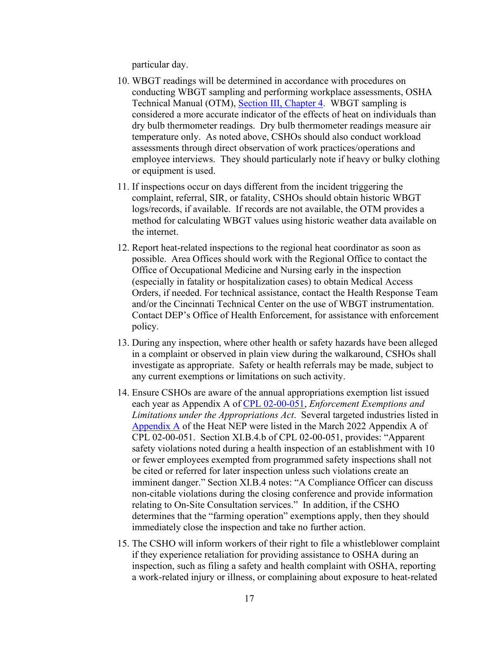particular day.

- 10. WBGT readings will be determined in accordance with procedures on conducting WBGT sampling and performing workplace assessments, OSHA Technical Manual (OTM), [Section III, Chapter 4.](https://www.osha.gov/otm/section-3-health-hazards/chapter-4) WBGT sampling is considered a more accurate indicator of the effects of heat on individuals than dry bulb thermometer readings. Dry bulb thermometer readings measure air temperature only. As noted above, CSHOs should also conduct workload assessments through direct observation of work practices/operations and employee interviews. They should particularly note if heavy or bulky clothing or equipment is used.
- 11. If inspections occur on days different from the incident triggering the complaint, referral, SIR, or fatality, CSHOs should obtain historic WBGT logs/records, if available. If records are not available, the OTM provides a method for calculating WBGT values using historic weather data available on the internet.
- 12. Report heat-related inspections to the regional heat coordinator as soon as possible. Area Offices should work with the Regional Office to contact the Office of Occupational Medicine and Nursing early in the inspection (especially in fatality or hospitalization cases) to obtain Medical Access Orders, if needed. For technical assistance, contact the Health Response Team and/or the Cincinnati Technical Center on the use of WBGT instrumentation. Contact DEP's Office of Health Enforcement, for assistance with enforcement policy.
- 13. During any inspection, where other health or safety hazards have been alleged in a complaint or observed in plain view during the walkaround, CSHOs shall investigate as appropriate. Safety or health referrals may be made, subject to any current exemptions or limitations on such activity.
- 14. Ensure CSHOs are aware of the annual appropriations exemption list issued each year as Appendix A of [CPL 02-00-051,](https://www.osha.gov/enforcement/directives/cpl-02-00-051) *Enforcement Exemptions and Limitations under the Appropriations Act*. Several targeted industries listed in [Appendix A](#page-27-0) of the Heat NEP were listed in the March 2022 Appendix A of CPL 02-00-051. Section XI.B.4.b of CPL 02-00-051, provides: "Apparent safety violations noted during a health inspection of an establishment with 10 or fewer employees exempted from programmed safety inspections shall not be cited or referred for later inspection unless such violations create an imminent danger." Section XI.B.4 notes: "A Compliance Officer can discuss non-citable violations during the closing conference and provide information relating to On-Site Consultation services." In addition, if the CSHO determines that the "farming operation" exemptions apply, then they should immediately close the inspection and take no further action.
- 15. The CSHO will inform workers of their right to file a whistleblower complaint if they experience retaliation for providing assistance to OSHA during an inspection, such as filing a safety and health complaint with OSHA, reporting a work-related injury or illness, or complaining about exposure to heat-related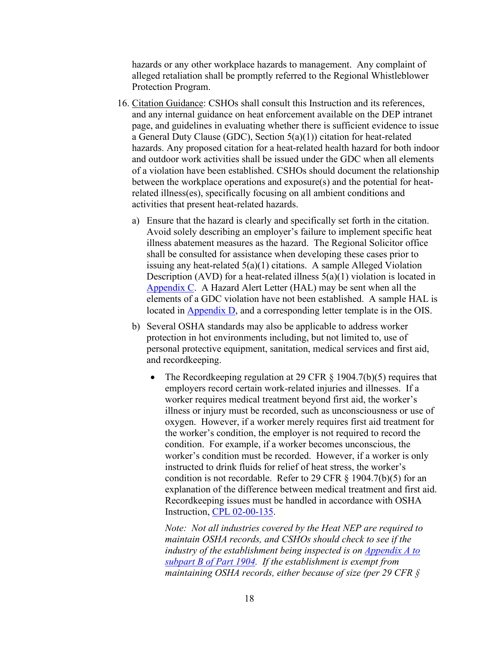hazards or any other workplace hazards to management. Any complaint of alleged retaliation shall be promptly referred to the Regional Whistleblower Protection Program.

- 16. Citation Guidance: CSHOs shall consult this Instruction and its references, and any internal guidance on heat enforcement available on the DEP intranet page, and guidelines in evaluating whether there is sufficient evidence to issue a General Duty Clause (GDC), Section 5(a)(1)) citation for heat-related hazards. Any proposed citation for a heat-related health hazard for both indoor and outdoor work activities shall be issued under the GDC when all elements of a violation have been established. CSHOs should document the relationship between the workplace operations and exposure(s) and the potential for heatrelated illness(es), specifically focusing on all ambient conditions and activities that present heat-related hazards.
	- a) Ensure that the hazard is clearly and specifically set forth in the citation. Avoid solely describing an employer's failure to implement specific heat illness abatement measures as the hazard. The Regional Solicitor office shall be consulted for assistance when developing these cases prior to issuing any heat-related  $5(a)(1)$  citations. A sample Alleged Violation Description (AVD) for a heat-related illness  $5(a)(1)$  violation is located in [Appendix C.](#page-32-0) A Hazard Alert Letter (HAL) may be sent when all the elements of a GDC violation have not been established. A sample HAL is located in [Appendix D,](#page-32-0) and a corresponding letter template is in the OIS.
	- b) Several OSHA standards may also be applicable to address worker protection in hot environments including, but not limited to, use of personal protective equipment, sanitation, medical services and first aid, and recordkeeping.
		- The Recordkeeping regulation at 29 CFR § 1904.7(b)(5) requires that employers record certain work-related injuries and illnesses. If a worker requires medical treatment beyond first aid, the worker's illness or injury must be recorded, such as unconsciousness or use of oxygen. However, if a worker merely requires first aid treatment for the worker's condition, the employer is not required to record the condition. For example, if a worker becomes unconscious, the worker's condition must be recorded. However, if a worker is only instructed to drink fluids for relief of heat stress, the worker's condition is not recordable. Refer to 29 CFR § 1904.7(b)(5) for an explanation of the difference between medical treatment and first aid. Recordkeeping issues must be handled in accordance with OSHA Instruction, [CPL 02-00-135.](https://www.osha.gov/enforcement/directives/cpl-02-00-135)

*Note: Not all industries covered by the Heat NEP are required to maintain OSHA records, and CSHOs should check to see if the industry of the establishment being inspected is on [Appendix A to](https://www.osha.gov/laws-regs/regulations/standardnumber/1904/1904SubpartBAppA)  [subpart B of Part 1904.](https://www.osha.gov/laws-regs/regulations/standardnumber/1904/1904SubpartBAppA) If the establishment is exempt from maintaining OSHA records, either because of size (per 29 CFR §*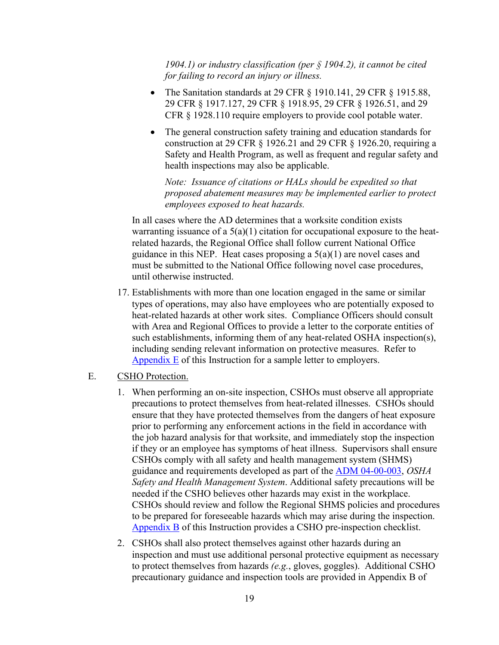*1904.1) or industry classification (per § 1904.2), it cannot be cited for failing to record an injury or illness.*

- The Sanitation standards at 29 CFR § 1910.141, 29 CFR § 1915.88, 29 CFR § 1917.127, 29 CFR § 1918.95, 29 CFR § 1926.51, and 29 CFR § 1928.110 require employers to provide cool potable water.
- The general construction safety training and education standards for construction at 29 CFR § 1926.21 and 29 CFR § 1926.20, requiring a Safety and Health Program, as well as frequent and regular safety and health inspections may also be applicable.

*Note: Issuance of citations or HALs should be expedited so that proposed abatement measures may be implemented earlier to protect employees exposed to heat hazards.* 

In all cases where the AD determines that a worksite condition exists warranting issuance of a  $5(a)(1)$  citation for occupational exposure to the heatrelated hazards, the Regional Office shall follow current National Office guidance in this NEP. Heat cases proposing a  $5(a)(1)$  are novel cases and must be submitted to the National Office following novel case procedures, until otherwise instructed.

17. Establishments with more than one location engaged in the same or similar types of operations, may also have employees who are potentially exposed to heat-related hazards at other work sites. Compliance Officers should consult with Area and Regional Offices to provide a letter to the corporate entities of such establishments, informing them of any heat-related OSHA inspection(s), including sending relevant information on protective measures. Refer to [Appendix E](#page-36-0) of this Instruction for a sample letter to employers.

#### <span id="page-22-0"></span>E. CSHO Protection.

- 1. When performing an on-site inspection, CSHOs must observe all appropriate precautions to protect themselves from heat-related illnesses. CSHOs should ensure that they have protected themselves from the dangers of heat exposure prior to performing any enforcement actions in the field in accordance with the job hazard analysis for that worksite, and immediately stop the inspection if they or an employee has symptoms of heat illness. Supervisors shall ensure CSHOs comply with all safety and health management system (SHMS) guidance and requirements developed as part of the [ADM 04-00-003,](https://www.osha.gov/enforcement/directives/adm-04-00-003) *OSHA Safety and Health Management System*. Additional safety precautions will be needed if the CSHO believes other hazards may exist in the workplace. CSHOs should review and follow the Regional SHMS policies and procedures to be prepared for foreseeable hazards which may arise during the inspection. [Appendix B](#page-31-0) of this Instruction provides a CSHO pre-inspection checklist.
- 2. CSHOs shall also protect themselves against other hazards during an inspection and must use additional personal protective equipment as necessary to protect themselves from hazards *(e.g.*, gloves, goggles). Additional CSHO precautionary guidance and inspection tools are provided in [Appendix B](#page-31-0) of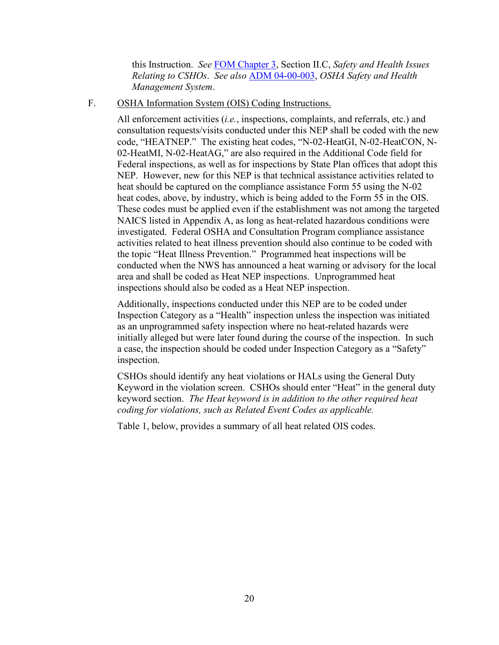this Instruction. *See* [FOM Chapter 3,](https://www.osha.gov/enforcement/directives/cpl-02-00-164/chapter-3) Section II.C, *Safety and Health Issues Relating to CSHOs*. *See also* [ADM 04-00-003,](https://www.osha.gov/enforcement/directives/adm-04-00-003) *OSHA Safety and Health Management System*.

<span id="page-23-0"></span>F. OSHA Information System (OIS) Coding Instructions.

All enforcement activities (*i.e.*, inspections, complaints, and referrals, etc.) and consultation requests/visits conducted under this NEP shall be coded with the new code, "HEATNEP." The existing heat codes, "N-02-HeatGI, N-02-HeatCON, N-02-HeatMI, N-02-HeatAG," are also required in the Additional Code field for Federal inspections, as well as for inspections by State Plan offices that adopt this NEP. However, new for this NEP is that technical assistance activities related to heat should be captured on the compliance assistance Form 55 using the N-02 heat codes, above, by industry, which is being added to the Form 55 in the OIS. These codes must be applied even if the establishment was not among the targeted NAICS listed in Appendix A, as long as heat-related hazardous conditions were investigated. Federal OSHA and Consultation Program compliance assistance activities related to heat illness prevention should also continue to be coded with the topic "Heat Illness Prevention." Programmed heat inspections will be conducted when the NWS has announced a heat warning or advisory for the local area and shall be coded as Heat NEP inspections. Unprogrammed heat inspections should also be coded as a Heat NEP inspection.

Additionally, inspections conducted under this NEP are to be coded under Inspection Category as a "Health" inspection unless the inspection was initiated as an unprogrammed safety inspection where no heat-related hazards were initially alleged but were later found during the course of the inspection. In such a case, the inspection should be coded under Inspection Category as a "Safety" inspection.

CSHOs should identify any heat violations or HALs using the General Duty Keyword in the violation screen. CSHOs should enter "Heat" in the general duty keyword section. *The Heat keyword is in addition to the other required heat coding for violations, such as Related Event Codes as applicable.*

Table 1, below, provides a summary of all heat related OIS codes.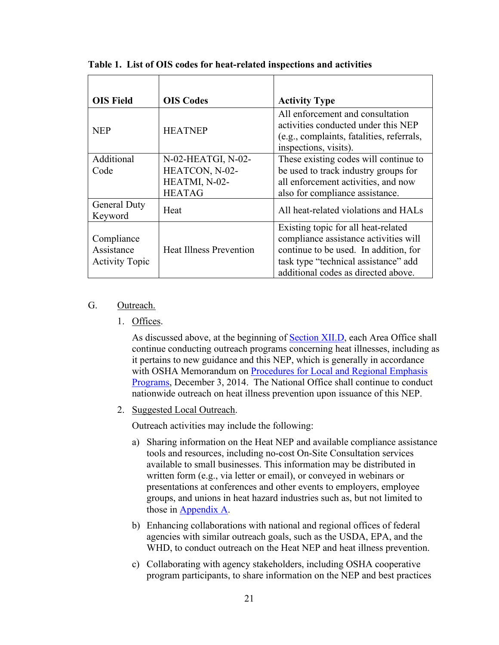| <b>OIS Field</b>                                  | <b>OIS Codes</b>               | <b>Activity Type</b>                                                                                                                                                                                 |
|---------------------------------------------------|--------------------------------|------------------------------------------------------------------------------------------------------------------------------------------------------------------------------------------------------|
| <b>NEP</b>                                        | <b>HEATNEP</b>                 | All enforcement and consultation<br>activities conducted under this NEP<br>(e.g., complaints, fatalities, referrals,<br>inspections, visits).                                                        |
| Additional                                        | N-02-HEATGI, N-02-             | These existing codes will continue to                                                                                                                                                                |
| Code                                              | HEATCON, N-02-                 | be used to track industry groups for                                                                                                                                                                 |
|                                                   | HEATMI, N-02-                  | all enforcement activities, and now                                                                                                                                                                  |
|                                                   | <b>HEATAG</b>                  | also for compliance assistance.                                                                                                                                                                      |
| <b>General Duty</b><br>Keyword                    | Heat                           | All heat-related violations and HALs                                                                                                                                                                 |
| Compliance<br>Assistance<br><b>Activity Topic</b> | <b>Heat Illness Prevention</b> | Existing topic for all heat-related<br>compliance assistance activities will<br>continue to be used. In addition, for<br>task type "technical assistance" add<br>additional codes as directed above. |

**Table 1. List of OIS codes for heat-related inspections and activities**

#### <span id="page-24-1"></span><span id="page-24-0"></span>G. Outreach.

1. Offices.

As discussed above, at the beginning of [Section XII.D,](#page-16-0) each Area Office shall continue conducting outreach programs concerning heat illnesses, including as it pertains to new guidance and this NEP, which is generally in accordance with OSHA Memorandum on [Procedures for Local and Regional Emphasis](https://www.osha.gov/memos/2014-12-03/procedures-local-and-regional-emphasis-programs)  [Programs,](https://www.osha.gov/memos/2014-12-03/procedures-local-and-regional-emphasis-programs) December 3, 2014. The National Office shall continue to conduct nationwide outreach on heat illness prevention upon issuance of this NEP.

2. Suggested Local Outreach.

Outreach activities may include the following:

- a) Sharing information on the Heat NEP and available compliance assistance tools and resources, including no-cost On-Site Consultation services available to small businesses. This information may be distributed in written form (e.g., via letter or email), or conveyed in webinars or presentations at conferences and other events to employers, employee groups, and unions in heat hazard industries such as, but not limited to those in [Appendix A.](#page-27-0)
- b) Enhancing collaborations with national and regional offices of federal agencies with similar outreach goals, such as the USDA, EPA, and the WHD, to conduct outreach on the Heat NEP and heat illness prevention.
- c) Collaborating with agency stakeholders, including OSHA cooperative program participants, to share information on the NEP and best practices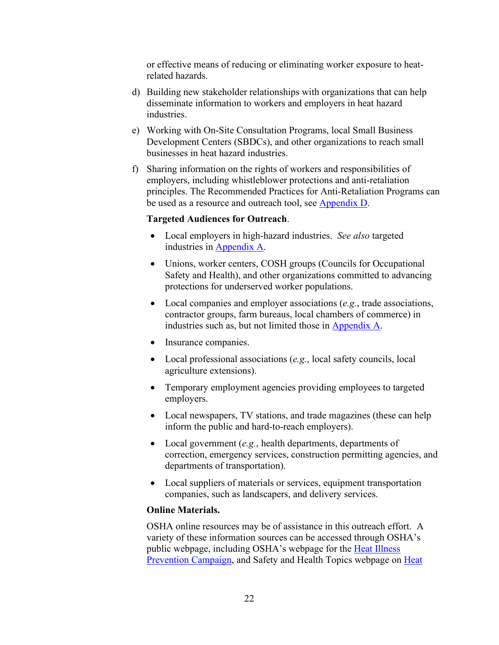or effective means of reducing or eliminating worker exposure to heatrelated hazards.

- d) Building new stakeholder relationships with organizations that can help disseminate information to workers and employers in heat hazard industries.
- e) Working with On-Site Consultation Programs, local Small Business Development Centers (SBDCs), and other organizations to reach small businesses in heat hazard industries.
- f) Sharing information on the rights of workers and responsibilities of employers, including whistleblower protections and anti-retaliation principles. The Recommended Practices for Anti-Retaliation Programs can be used as a resource and outreach tool, see [Appendix D.](#page-32-0)

#### **Targeted Audiences for Outreach**.

- Local employers in high-hazard industries. *See also* targeted industries in [Appendix A.](#page-27-0)
- Unions, worker centers, COSH groups (Councils for Occupational Safety and Health), and other organizations committed to advancing protections for underserved worker populations.
- Local companies and employer associations (*e.g.*, trade associations, contractor groups, farm bureaus, local chambers of commerce) in industries such as, but not limited those in [Appendix A.](#page-27-0)
- Insurance companies.
- Local professional associations (*e.g.*, local safety councils, local agriculture extensions).
- Temporary employment agencies providing employees to targeted employers.
- Local newspapers, TV stations, and trade magazines (these can help inform the public and hard-to-reach employers).
- Local government (*e.g.*, health departments, departments of correction, emergency services, construction permitting agencies, and departments of transportation).
- Local suppliers of materials or services, equipment transportation companies, such as landscapers, and delivery services.

#### **Online Materials.**

OSHA online resources may be of assistance in this outreach effort. A variety of these information sources can be accessed through OSHA's public webpage, including OSHA's webpage for the [Heat Illness](https://www.osha.gov/heat)  [Prevention Campaign,](https://www.osha.gov/heat) and Safety and Health Topics webpage on [Heat](https://www.osha.gov/heat-exposure)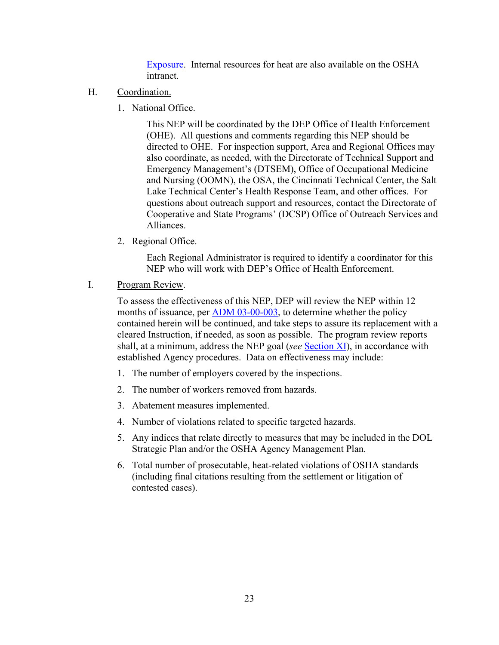[Exposure.](https://www.osha.gov/heat-exposure) Internal resources for heat are also available on the OSHA intranet.

- <span id="page-26-0"></span>H. Coordination.
	- 1. National Office.

This NEP will be coordinated by the DEP Office of Health Enforcement (OHE). All questions and comments regarding this NEP should be directed to OHE. For inspection support, Area and Regional Offices may also coordinate, as needed, with the Directorate of Technical Support and Emergency Management's (DTSEM), Office of Occupational Medicine and Nursing (OOMN), the OSA, the Cincinnati Technical Center, the Salt Lake Technical Center's Health Response Team, and other offices. For questions about outreach support and resources, contact the Directorate of Cooperative and State Programs' (DCSP) Office of Outreach Services and Alliances.

2. Regional Office.

Each Regional Administrator is required to identify a coordinator for this NEP who will work with DEP's Office of Health Enforcement.

<span id="page-26-1"></span>I. Program Review.

To assess the effectiveness of this NEP, DEP will review the NEP within 12 months of issuance, per [ADM 03-00-003,](https://www.osha.gov/enforcement/directives/adm-03-00-003) to determine whether the policy contained herein will be continued, and take steps to assure its replacement with a cleared Instruction, if needed, as soon as possible. The program review reports shall, at a minimum, address the NEP goal (*see* [Section XI\)](#page-9-4), in accordance with established Agency procedures. Data on effectiveness may include:

- 1. The number of employers covered by the inspections.
- 2. The number of workers removed from hazards.
- 3. Abatement measures implemented.
- 4. Number of violations related to specific targeted hazards.
- 5. Any indices that relate directly to measures that may be included in the DOL Strategic Plan and/or the OSHA Agency Management Plan.
- 6. Total number of prosecutable, heat-related violations of OSHA standards (including final citations resulting from the settlement or litigation of contested cases).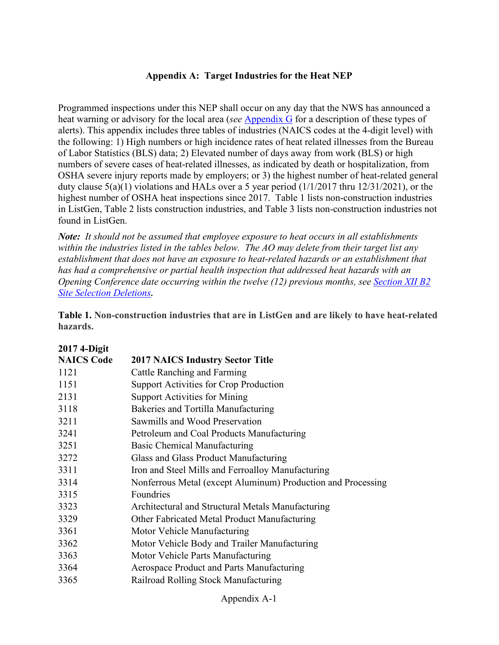#### **Appendix A: Target Industries for the Heat NEP**

<span id="page-27-0"></span>Programmed inspections under this NEP shall occur on any day that the NWS has announced a heat warning or advisory for the local area (*see* [Appendix G](#page-39-0) for a description of these types of alerts). This appendix includes three tables of industries (NAICS codes at the 4-digit level) with the following: 1) High numbers or high incidence rates of heat related illnesses from the Bureau of Labor Statistics (BLS) data; 2) Elevated number of days away from work (BLS) or high numbers of severe cases of heat-related illnesses, as indicated by death or hospitalization, from OSHA severe injury reports made by employers; or 3) the highest number of heat-related general duty clause 5(a)(1) violations and HALs over a 5 year period (1/1/2017 thru 12/31/2021), or the highest number of OSHA heat inspections since 2017. Table 1 lists non-construction industries in ListGen, Table 2 lists construction industries, and Table 3 lists non-construction industries not found in ListGen.

*Note: It should not be assumed that employee exposure to heat occurs in all establishments within the industries listed in the tables below. The AO may delete from their target list any establishment that does not have an exposure to heat-related hazards or an establishment that has had a comprehensive or partial health inspection that addressed heat hazards with an Opening Conference date occurring within the twelve (12) previous months, see [Section XII B2](#page-12-1)  [Site Selection Deletions](#page-12-1)***.** 

**Table 1. Non-construction industries that are in ListGen and are likely to have heat-related hazards.**

| <b>2017 4-Digit</b> |                                                              |
|---------------------|--------------------------------------------------------------|
| <b>NAICS Code</b>   | <b>2017 NAICS Industry Sector Title</b>                      |
| 1121                | Cattle Ranching and Farming                                  |
| 1151                | Support Activities for Crop Production                       |
| 2131                | <b>Support Activities for Mining</b>                         |
| 3118                | Bakeries and Tortilla Manufacturing                          |
| 3211                | Sawmills and Wood Preservation                               |
| 3241                | Petroleum and Coal Products Manufacturing                    |
| 3251                | Basic Chemical Manufacturing                                 |
| 3272                | Glass and Glass Product Manufacturing                        |
| 3311                | Iron and Steel Mills and Ferroalloy Manufacturing            |
| 3314                | Nonferrous Metal (except Aluminum) Production and Processing |
| 3315                | Foundries                                                    |
| 3323                | Architectural and Structural Metals Manufacturing            |
| 3329                | Other Fabricated Metal Product Manufacturing                 |
| 3361                | Motor Vehicle Manufacturing                                  |
| 3362                | Motor Vehicle Body and Trailer Manufacturing                 |
| 3363                | Motor Vehicle Parts Manufacturing                            |
| 3364                | Aerospace Product and Parts Manufacturing                    |
| 3365                | Railroad Rolling Stock Manufacturing                         |
|                     |                                                              |

Appendix A-1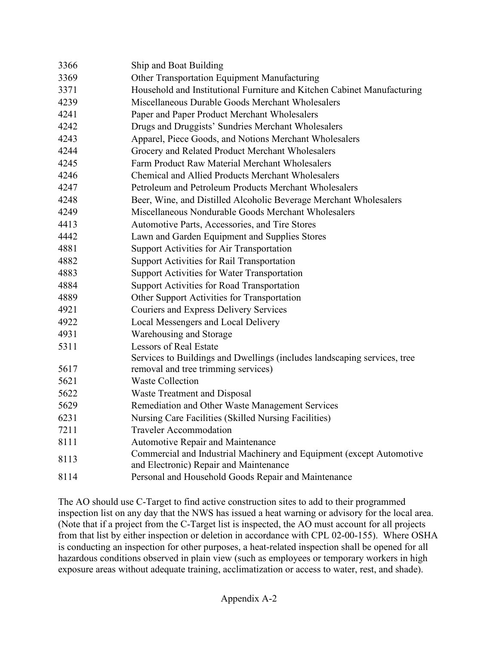| 3366 |                                                                          |
|------|--------------------------------------------------------------------------|
|      | Ship and Boat Building                                                   |
| 3369 | Other Transportation Equipment Manufacturing                             |
| 3371 | Household and Institutional Furniture and Kitchen Cabinet Manufacturing  |
| 4239 | Miscellaneous Durable Goods Merchant Wholesalers                         |
| 4241 | Paper and Paper Product Merchant Wholesalers                             |
| 4242 | Drugs and Druggists' Sundries Merchant Wholesalers                       |
| 4243 | Apparel, Piece Goods, and Notions Merchant Wholesalers                   |
| 4244 | Grocery and Related Product Merchant Wholesalers                         |
| 4245 | Farm Product Raw Material Merchant Wholesalers                           |
| 4246 | <b>Chemical and Allied Products Merchant Wholesalers</b>                 |
| 4247 | Petroleum and Petroleum Products Merchant Wholesalers                    |
| 4248 | Beer, Wine, and Distilled Alcoholic Beverage Merchant Wholesalers        |
| 4249 | Miscellaneous Nondurable Goods Merchant Wholesalers                      |
| 4413 | Automotive Parts, Accessories, and Tire Stores                           |
| 4442 | Lawn and Garden Equipment and Supplies Stores                            |
| 4881 | Support Activities for Air Transportation                                |
| 4882 | <b>Support Activities for Rail Transportation</b>                        |
| 4883 | Support Activities for Water Transportation                              |
| 4884 | <b>Support Activities for Road Transportation</b>                        |
| 4889 | Other Support Activities for Transportation                              |
| 4921 | <b>Couriers and Express Delivery Services</b>                            |
| 4922 | Local Messengers and Local Delivery                                      |
| 4931 | Warehousing and Storage                                                  |
| 5311 | <b>Lessors of Real Estate</b>                                            |
|      | Services to Buildings and Dwellings (includes landscaping services, tree |
| 5617 | removal and tree trimming services)                                      |
| 5621 | <b>Waste Collection</b>                                                  |
| 5622 | <b>Waste Treatment and Disposal</b>                                      |
| 5629 | Remediation and Other Waste Management Services                          |
| 6231 | Nursing Care Facilities (Skilled Nursing Facilities)                     |
| 7211 | <b>Traveler Accommodation</b>                                            |
| 8111 | <b>Automotive Repair and Maintenance</b>                                 |
|      | Commercial and Industrial Machinery and Equipment (except Automotive     |
| 8113 | and Electronic) Repair and Maintenance                                   |
| 8114 | Personal and Household Goods Repair and Maintenance                      |

The AO should use C-Target to find active construction sites to add to their programmed inspection list on any day that the NWS has issued a heat warning or advisory for the local area. (Note that if a project from the C-Target list is inspected, the AO must account for all projects from that list by either inspection or deletion in accordance with CPL 02-00-155). Where OSHA is conducting an inspection for other purposes, a heat-related inspection shall be opened for all hazardous conditions observed in plain view (such as employees or temporary workers in high exposure areas without adequate training, acclimatization or access to water, rest, and shade).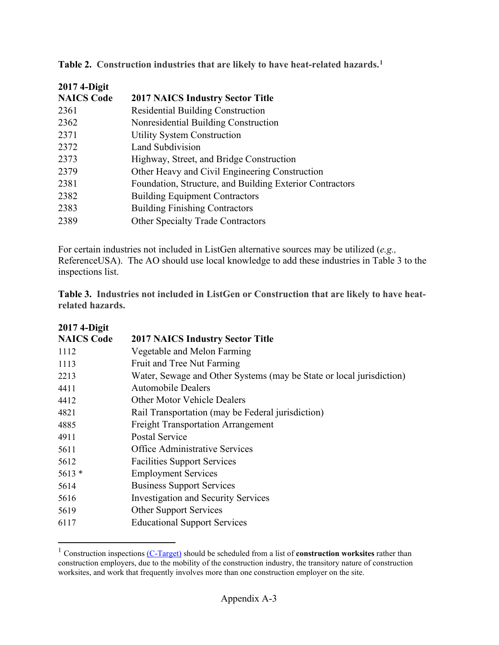| 2017 4-Digit      |                                                          |
|-------------------|----------------------------------------------------------|
| <b>NAICS Code</b> | <b>2017 NAICS Industry Sector Title</b>                  |
| 2361              | Residential Building Construction                        |
| 2362              | Nonresidential Building Construction                     |
| 2371              | <b>Utility System Construction</b>                       |
| 2372              | Land Subdivision                                         |
| 2373              | Highway, Street, and Bridge Construction                 |
| 2379              | Other Heavy and Civil Engineering Construction           |
| 2381              | Foundation, Structure, and Building Exterior Contractors |
| 2382              | <b>Building Equipment Contractors</b>                    |
| 2383              | <b>Building Finishing Contractors</b>                    |
| 2389              | <b>Other Specialty Trade Contractors</b>                 |

**Table 2. Construction industries that are likely to have heat-related hazards.[1](#page-29-0)**

For certain industries not included in ListGen alternative sources may be utilized (*e.g.,* ReferenceUSA). The AO should use local knowledge to add these industries in Table 3 to the inspections list.

**Table 3. Industries not included in ListGen or Construction that are likely to have heatrelated hazards.**

| 2017 4-Digit      |                                                                      |
|-------------------|----------------------------------------------------------------------|
| <b>NAICS Code</b> | <b>2017 NAICS Industry Sector Title</b>                              |
| 1112              | Vegetable and Melon Farming                                          |
| 1113              | Fruit and Tree Nut Farming                                           |
| 2213              | Water, Sewage and Other Systems (may be State or local jurisdiction) |
| 4411              | <b>Automobile Dealers</b>                                            |
| 4412              | <b>Other Motor Vehicle Dealers</b>                                   |
| 4821              | Rail Transportation (may be Federal jurisdiction)                    |
| 4885              | <b>Freight Transportation Arrangement</b>                            |
| 4911              | <b>Postal Service</b>                                                |
| 5611              | <b>Office Administrative Services</b>                                |
| 5612              | <b>Facilities Support Services</b>                                   |
| $5613*$           | <b>Employment Services</b>                                           |
| 5614              | <b>Business Support Services</b>                                     |
| 5616              | <b>Investigation and Security Services</b>                           |
| 5619              | <b>Other Support Services</b>                                        |
| 6117              | <b>Educational Support Services</b>                                  |

<span id="page-29-0"></span> Construction inspections [\(C-Target\)](https://gcc02.safelinks.protection.outlook.com/?url=https%3A%2F%2Fwww.osha.gov%2Fenforcement%2Fdirectives%2Fcpl-02-00-155&data=04%7C01%7COrr.Gary%40dol.gov%7C41fd87600ee645e37f2c08d9ae8783a4%7C75a6305472044e0c9126adab971d4aca%7C0%7C0%7C637732719322600143%7CUnknown%7CTWFpbGZsb3d8eyJWIjoiMC4wLjAwMDAiLCJQIjoiV2luMzIiLCJBTiI6Ik1haWwiLCJXVCI6Mn0%3D%7C3000&sdata=F4zfHH%2BG%2F8KAn1dVunICPENgqGtJKuI%2BrpB9SJ6%2F8Zw%3D&reserved=0) should be scheduled from a list of **construction worksites** rather than construction employers, due to the mobility of the construction industry, the transitory nature of construction worksites, and work that frequently involves more than one construction employer on the site.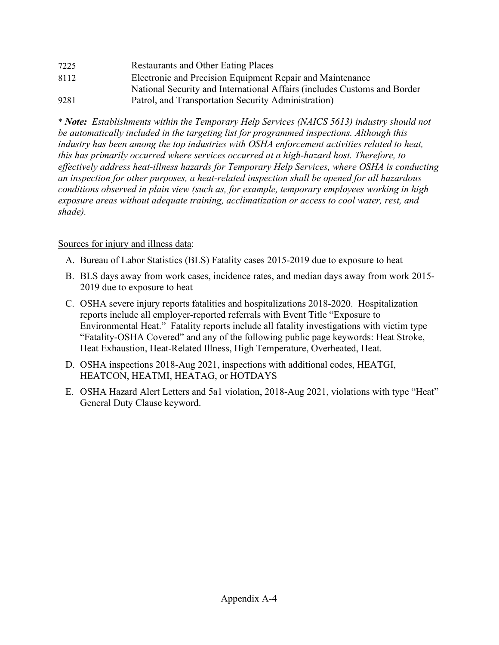| 7225 | <b>Restaurants and Other Eating Places</b>                               |
|------|--------------------------------------------------------------------------|
| 8112 | Electronic and Precision Equipment Repair and Maintenance                |
|      | National Security and International Affairs (includes Customs and Border |
| 9281 | Patrol, and Transportation Security Administration)                      |

\* *Note: Establishments within the Temporary Help Services (NAICS 5613) industry should not be automatically included in the targeting list for programmed inspections. Although this industry has been among the top industries with OSHA enforcement activities related to heat, this has primarily occurred where services occurred at a high-hazard host. Therefore, to effectively address heat-illness hazards for Temporary Help Services, where OSHA is conducting an inspection for other purposes, a heat-related inspection shall be opened for all hazardous conditions observed in plain view (such as, for example, temporary employees working in high exposure areas without adequate training, acclimatization or access to cool water, rest, and shade).*

# Sources for injury and illness data:

- A. Bureau of Labor Statistics (BLS) Fatality cases 2015-2019 due to exposure to heat
- B. BLS days away from work cases, incidence rates, and median days away from work 2015- 2019 due to exposure to heat
- C. OSHA severe injury reports fatalities and hospitalizations 2018-2020. Hospitalization reports include all employer-reported referrals with Event Title "Exposure to Environmental Heat." Fatality reports include all fatality investigations with victim type "Fatality-OSHA Covered" and any of the following public page keywords: Heat Stroke, Heat Exhaustion, Heat-Related Illness, High Temperature, Overheated, Heat.
- D. OSHA inspections 2018-Aug 2021, inspections with additional codes, HEATGI, HEATCON, HEATMI, HEATAG, or HOTDAYS
- E. OSHA Hazard Alert Letters and 5a1 violation, 2018-Aug 2021, violations with type "Heat" General Duty Clause keyword.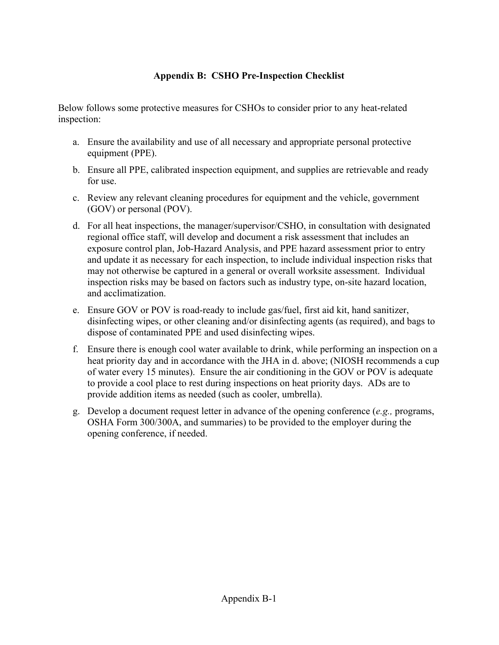# **Appendix B: CSHO Pre-Inspection Checklist**

<span id="page-31-0"></span>Below follows some protective measures for CSHOs to consider prior to any heat-related inspection:

- a. Ensure the availability and use of all necessary and appropriate personal protective equipment (PPE).
- b. Ensure all PPE, calibrated inspection equipment, and supplies are retrievable and ready for use.
- c. Review any relevant cleaning procedures for equipment and the vehicle, government (GOV) or personal (POV).
- d. For all heat inspections, the manager/supervisor/CSHO, in consultation with designated regional office staff, will develop and document a risk assessment that includes an exposure control plan, Job-Hazard Analysis, and PPE hazard assessment prior to entry and update it as necessary for each inspection, to include individual inspection risks that may not otherwise be captured in a general or overall worksite assessment. Individual inspection risks may be based on factors such as industry type, on-site hazard location, and acclimatization.
- e. Ensure GOV or POV is road-ready to include gas/fuel, first aid kit, hand sanitizer, disinfecting wipes, or other cleaning and/or disinfecting agents (as required), and bags to dispose of contaminated PPE and used disinfecting wipes.
- f. Ensure there is enough cool water available to drink, while performing an inspection on a heat priority day and in accordance with the JHA in d. above; (NIOSH recommends a cup of water every 15 minutes). Ensure the air conditioning in the GOV or POV is adequate to provide a cool place to rest during inspections on heat priority days. ADs are to provide addition items as needed (such as cooler, umbrella).
- g. Develop a document request letter in advance of the opening conference (*e.g.,* programs, OSHA Form 300/300A, and summaries) to be provided to the employer during the opening conference, if needed.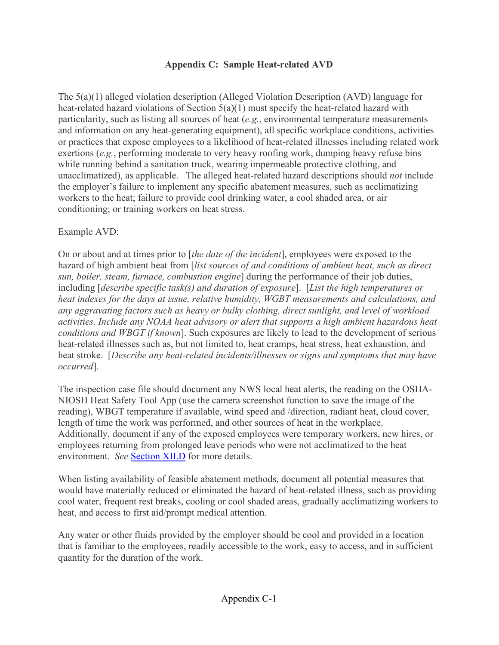## **Appendix C: Sample Heat-related AVD**

<span id="page-32-0"></span>The 5(a)(1) alleged violation description (Alleged Violation Description (AVD) language for heat-related hazard violations of Section 5(a)(1) must specify the heat-related hazard with particularity, such as listing all sources of heat (*e.g.*, environmental temperature measurements and information on any heat-generating equipment), all specific workplace conditions, activities or practices that expose employees to a likelihood of heat-related illnesses including related work exertions (*e.g.*, performing moderate to very heavy roofing work, dumping heavy refuse bins while running behind a sanitation truck, wearing impermeable protective clothing, and unacclimatized), as applicable. The alleged heat-related hazard descriptions should *not* include the employer's failure to implement any specific abatement measures, such as acclimatizing workers to the heat; failure to provide cool drinking water, a cool shaded area, or air conditioning; or training workers on heat stress.

#### Example AVD:

On or about and at times prior to [*the date of the incident*], employees were exposed to the hazard of high ambient heat from [*list sources of and conditions of ambient heat, such as direct sun, boiler, steam, furnace, combustion engine*] during the performance of their job duties, including [*describe specific task(s) and duration of exposure*]. [*List the high temperatures or heat indexes for the days at issue, relative humidity, WGBT measurements and calculations, and any aggravating factors such as heavy or bulky clothing, direct sunlight, and level of workload activities. Include any NOAA heat advisory or alert that supports a high ambient hazardous heat conditions and WBGT if known*]. Such exposures are likely to lead to the development of serious heat-related illnesses such as, but not limited to, heat cramps, heat stress, heat exhaustion, and heat stroke. [*Describe any heat-related incidents/illnesses or signs and symptoms that may have occurred*].

The inspection case file should document any NWS local heat alerts, the reading on the OSHA-NIOSH Heat Safety Tool App (use the camera screenshot function to save the image of the reading), WBGT temperature if available, wind speed and /direction, radiant heat, cloud cover, length of time the work was performed, and other sources of heat in the workplace. Additionally, document if any of the exposed employees were temporary workers, new hires, or employees returning from prolonged leave periods who were not acclimatized to the heat environment. *See* [Section XII.D](#page-16-0) for more details.

When listing availability of feasible abatement methods, document all potential measures that would have materially reduced or eliminated the hazard of heat-related illness, such as providing cool water, frequent rest breaks, cooling or cool shaded areas, gradually acclimatizing workers to heat, and access to first aid/prompt medical attention.

Any water or other fluids provided by the employer should be cool and provided in a location that is familiar to the employees, readily accessible to the work, easy to access, and in sufficient quantity for the duration of the work.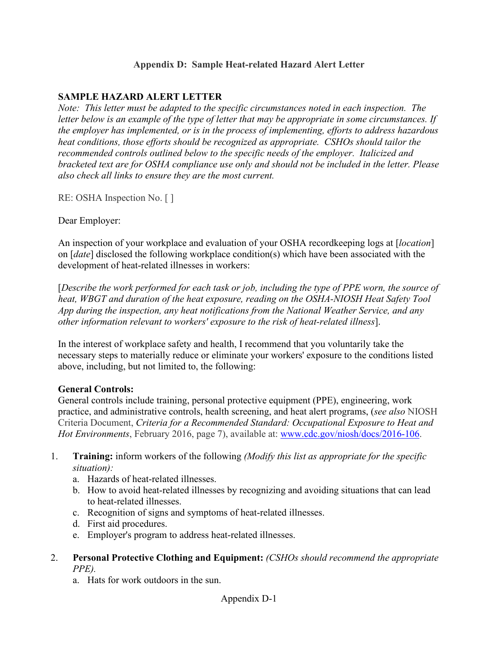## **Appendix D: Sample Heat-related Hazard Alert Letter**

## **SAMPLE HAZARD ALERT LETTER**

*Note: This letter must be adapted to the specific circumstances noted in each inspection. The letter below is an example of the type of letter that may be appropriate in some circumstances. If the employer has implemented, or is in the process of implementing, efforts to address hazardous heat conditions, those efforts should be recognized as appropriate. CSHOs should tailor the recommended controls outlined below to the specific needs of the employer. Italicized and bracketed text are for OSHA compliance use only and should not be included in the letter. Please also check all links to ensure they are the most current.* 

RE: OSHA Inspection No. [ ]

Dear Employer:

An inspection of your workplace and evaluation of your OSHA recordkeeping logs at [*location*] on [*date*] disclosed the following workplace condition(s) which have been associated with the development of heat-related illnesses in workers:

[*Describe the work performed for each task or job, including the type of PPE worn, the source of heat, WBGT and duration of the heat exposure, reading on the OSHA-NIOSH Heat Safety Tool App during the inspection, any heat notifications from the National Weather Service, and any other information relevant to workers' exposure to the risk of heat-related illness*].

In the interest of workplace safety and health, I recommend that you voluntarily take the necessary steps to materially reduce or eliminate your workers' exposure to the conditions listed above, including, but not limited to, the following:

#### **General Controls:**

General controls include training, personal protective equipment (PPE), engineering, work practice, and administrative controls, health screening, and heat alert programs, (*see also* NIOSH Criteria Document, *Criteria for a Recommended Standard: Occupational Exposure to Heat and Hot Environments*, February 2016, page 7), available at: [www.cdc.gov/niosh/docs/2016-106.](https://www.cdc.gov/niosh/docs/2016-106/)

- 1. **Training:** inform workers of the following *(Modify this list as appropriate for the specific situation):* 
	- a. Hazards of heat-related illnesses.
	- b. How to avoid heat-related illnesses by recognizing and avoiding situations that can lead to heat-related illnesses.
	- c. Recognition of signs and symptoms of heat-related illnesses.
	- d. First aid procedures.
	- e. Employer's program to address heat-related illnesses.
- 2. **Personal Protective Clothing and Equipment:** *(CSHOs should recommend the appropriate PPE).*
	- a. Hats for work outdoors in the sun.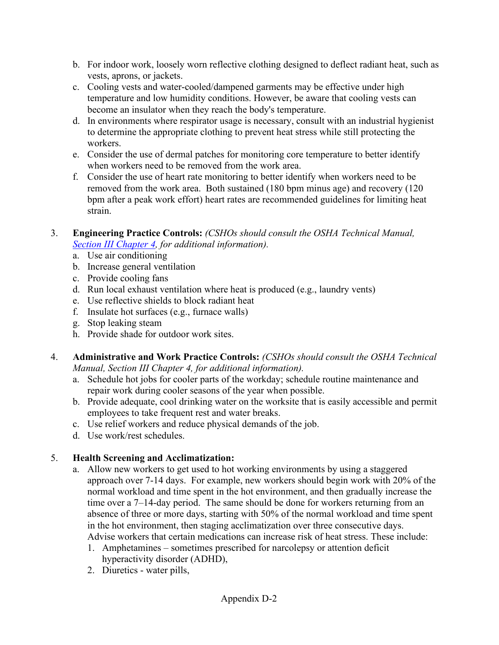- b. For indoor work, loosely worn reflective clothing designed to deflect radiant heat, such as vests, aprons, or jackets.
- c. Cooling vests and water-cooled/dampened garments may be effective under high temperature and low humidity conditions. However, be aware that cooling vests can become an insulator when they reach the body's temperature.
- d. In environments where respirator usage is necessary, consult with an industrial hygienist to determine the appropriate clothing to prevent heat stress while still protecting the workers.
- e. Consider the use of dermal patches for monitoring core temperature to better identify when workers need to be removed from the work area.
- f. Consider the use of heart rate monitoring to better identify when workers need to be removed from the work area. Both sustained (180 bpm minus age) and recovery (120 bpm after a peak work effort) heart rates are recommended guidelines for limiting heat strain.
- 3. **Engineering Practice Controls:** *(CSHOs should consult the OSHA Technical Manual, [Section III Chapter 4,](https://www.osha.gov/otm/section-3-health-hazards/chapter-4) for additional information).* 
	- a. Use air conditioning
	- b. Increase general ventilation
	- c. Provide cooling fans
	- d. Run local exhaust ventilation where heat is produced (e.g., laundry vents)
	- e. Use reflective shields to block radiant heat
	- f. Insulate hot surfaces (e.g., furnace walls)
	- g. Stop leaking steam
	- h. Provide shade for outdoor work sites.
- 4. **Administrative and Work Practice Controls:** *(CSHOs should consult the OSHA Technical Manual, Section III Chapter 4, for additional information).* 
	- a. Schedule hot jobs for cooler parts of the workday; schedule routine maintenance and repair work during cooler seasons of the year when possible.
	- b. Provide adequate, cool drinking water on the worksite that is easily accessible and permit employees to take frequent rest and water breaks.
	- c. Use relief workers and reduce physical demands of the job.
	- d. Use work/rest schedules.

# 5. **Health Screening and Acclimatization:**

- a. Allow new workers to get used to hot working environments by using a staggered approach over 7-14 days. For example, new workers should begin work with 20% of the normal workload and time spent in the hot environment, and then gradually increase the time over a 7–14-day period. The same should be done for workers returning from an absence of three or more days, starting with 50% of the normal workload and time spent in the hot environment, then staging acclimatization over three consecutive days. Advise workers that certain medications can increase risk of heat stress. These include:
	- 1. Amphetamines sometimes prescribed for narcolepsy or attention deficit hyperactivity disorder (ADHD),
	- 2. Diuretics water pills,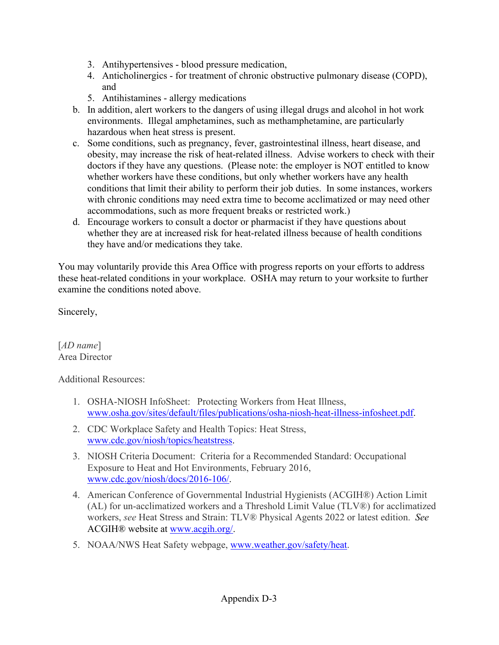- 3. Antihypertensives blood pressure medication,
- 4. Anticholinergics for treatment of chronic obstructive pulmonary disease (COPD), and
- 5. Antihistamines allergy medications
- b. In addition, alert workers to the dangers of using illegal drugs and alcohol in hot work environments. Illegal amphetamines, such as methamphetamine, are particularly hazardous when heat stress is present.
- c. Some conditions, such as pregnancy, fever, gastrointestinal illness, heart disease, and obesity, may increase the risk of heat-related illness. Advise workers to check with their doctors if they have any questions. (Please note: the employer is NOT entitled to know whether workers have these conditions, but only whether workers have any health conditions that limit their ability to perform their job duties. In some instances, workers with chronic conditions may need extra time to become acclimatized or may need other accommodations, such as more frequent breaks or restricted work.)
- d. Encourage workers to consult a doctor or pharmacist if they have questions about whether they are at increased risk for heat-related illness because of health conditions they have and/or medications they take.

You may voluntarily provide this Area Office with progress reports on your efforts to address these heat-related conditions in your workplace. OSHA may return to your worksite to further examine the conditions noted above.

Sincerely,

[*AD name*] Area Director

Additional Resources:

- 1. OSHA-NIOSH InfoSheet:  Protecting Workers from Heat Illness, [www.osha.gov/sites/default/files/publications/osha-niosh-heat-illness-infosheet.pdf.](https://www.osha.gov/sites/default/files/publications/osha-niosh-heat-illness-infosheet.pdf)
- 2. CDC Workplace Safety and Health Topics: Heat Stress, [www.cdc.gov/niosh/topics/heatstress.](https://www.cdc.gov/niosh/topics/heatstress/default.html)
- 3. NIOSH Criteria Document: Criteria for a Recommended Standard: Occupational Exposure to Heat and Hot Environments, February 2016, [www.cdc.gov/niosh/docs/2016-106/.](https://www.cdc.gov/niosh/docs/2016-106/)
- 4. American Conference of Governmental Industrial Hygienists (ACGIH®) Action Limit (AL) for un-acclimatized workers and a Threshold Limit Value (TLV®) for acclimatized workers, *see* Heat Stress and Strain: TLV® Physical Agents 2022 or latest edition. *See* ACGIH® website at [www.acgih.org/.](http://www.acgih.org/)
- 5. NOAA/NWS Heat Safety webpage, [www.weather.gov/safety/heat.](https://www.weather.gov/safety/heat)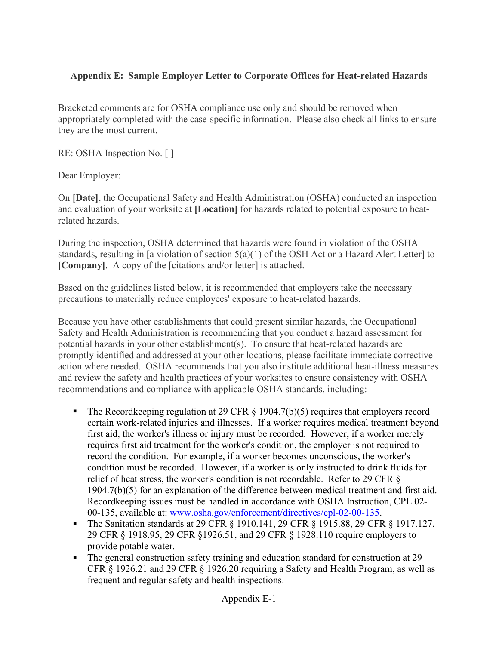# <span id="page-36-0"></span>**Appendix E: Sample Employer Letter to Corporate Offices for Heat-related Hazards**

Bracketed comments are for OSHA compliance use only and should be removed when appropriately completed with the case-specific information. Please also check all links to ensure they are the most current.

RE: OSHA Inspection No. [ ]

Dear Employer:

On **[Date]**, the Occupational Safety and Health Administration (OSHA) conducted an inspection and evaluation of your worksite at **[Location]** for hazards related to potential exposure to heatrelated hazards.

During the inspection, OSHA determined that hazards were found in violation of the OSHA standards, resulting in [a violation of section 5(a)(1) of the OSH Act or a Hazard Alert Letter] to **[Company]**. A copy of the [citations and/or letter] is attached.

Based on the guidelines listed below, it is recommended that employers take the necessary precautions to materially reduce employees' exposure to heat-related hazards.

Because you have other establishments that could present similar hazards, the Occupational Safety and Health Administration is recommending that you conduct a hazard assessment for potential hazards in your other establishment(s). To ensure that heat-related hazards are promptly identified and addressed at your other locations, please facilitate immediate corrective action where needed. OSHA recommends that you also institute additional heat-illness measures and review the safety and health practices of your worksites to ensure consistency with OSHA recommendations and compliance with applicable OSHA standards, including:

- The Record keeping regulation at 29 CFR  $\S$  1904.7(b)(5) requires that employers record certain work-related injuries and illnesses. If a worker requires medical treatment beyond first aid, the worker's illness or injury must be recorded. However, if a worker merely requires first aid treatment for the worker's condition, the employer is not required to record the condition. For example, if a worker becomes unconscious, the worker's condition must be recorded. However, if a worker is only instructed to drink fluids for relief of heat stress, the worker's condition is not recordable. Refer to 29 CFR § 1904.7(b)(5) for an explanation of the difference between medical treatment and first aid. Recordkeeping issues must be handled in accordance with OSHA Instruction, CPL 02- 00-135, available at: [www.osha.gov/enforcement/directives/cpl-02-00-135.](https://www.osha.gov/enforcement/directives/cpl-02-00-135)
- The Sanitation standards at 29 CFR § 1910.141, 29 CFR § 1915.88, 29 CFR § 1917.127, 29 CFR § 1918.95, 29 CFR §1926.51, and 29 CFR § 1928.110 require employers to provide potable water.
- The general construction safety training and education standard for construction at 29 CFR § 1926.21 and 29 CFR § 1926.20 requiring a Safety and Health Program, as well as frequent and regular safety and health inspections.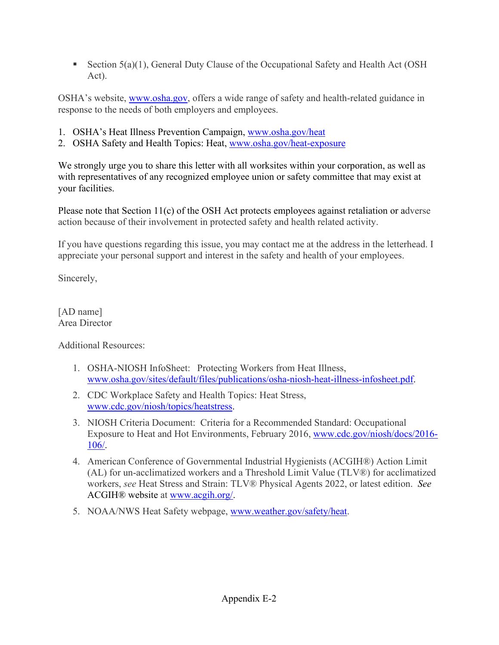■ Section 5(a)(1), General Duty Clause of the Occupational Safety and Health Act (OSH Act).

OSHA's website, [www.osha.gov,](https://www.osha.gov/) offers a wide range of safety and health-related guidance in response to the needs of both employers and employees.

- 1. OSHA's Heat Illness Prevention Campaign, [www.osha.gov/heat](https://www.osha.gov/heat)
- 2. OSHA Safety and Health Topics: Heat, [www.osha.gov/heat-exposure](https://www.osha.gov/heat-exposure)

We strongly urge you to share this letter with all worksites within your corporation, as well as with representatives of any recognized employee union or safety committee that may exist at your facilities.

Please note that Section 11(c) of the OSH Act protects employees against retaliation or adverse action because of their involvement in protected safety and health related activity.

If you have questions regarding this issue, you may contact me at the address in the letterhead. I appreciate your personal support and interest in the safety and health of your employees.

Sincerely,

[AD name] Area Director

Additional Resources:

- 1. OSHA-NIOSH InfoSheet:  Protecting Workers from Heat Illness, [www.osha.gov/sites/default/files/publications/osha-niosh-heat-illness-infosheet.pdf.](https://www.osha.gov/sites/default/files/publications/osha-niosh-heat-illness-infosheet.pdf)
- 2. CDC Workplace Safety and Health Topics: Heat Stress, [www.cdc.gov/niosh/topics/heatstress.](https://www.cdc.gov/niosh/topics/heatstress/default.html)
- 3. NIOSH Criteria Document: Criteria for a Recommended Standard: Occupational Exposure to Heat and Hot Environments, February 2016, [www.cdc.gov/niosh/docs/2016-](https://www.cdc.gov/niosh/docs/2016-106/) [106/.](https://www.cdc.gov/niosh/docs/2016-106/)
- 4. American Conference of Governmental Industrial Hygienists (ACGIH®) Action Limit (AL) for un-acclimatized workers and a Threshold Limit Value (TLV®) for acclimatized workers, *see* Heat Stress and Strain: TLV® Physical Agents 2022, or latest edition. *See* ACGIH® website at [www.acgih.org/.](http://www.acgih.org/)
- 5. NOAA/NWS Heat Safety webpage, [www.weather.gov/safety/heat.](https://www.weather.gov/safety/heat)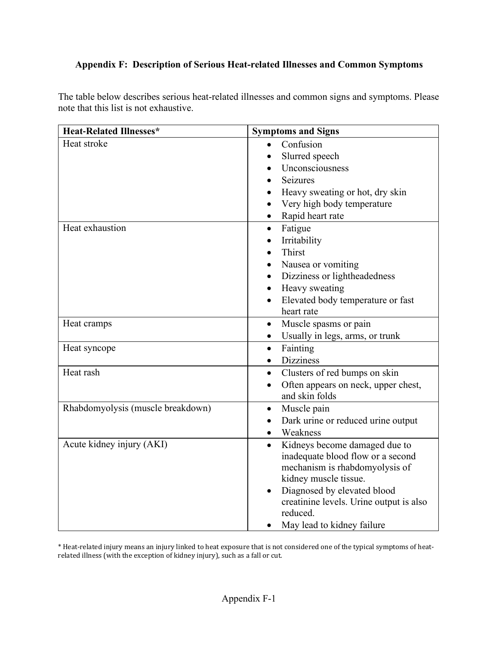# <span id="page-38-0"></span>**Appendix F: Description of Serious Heat-related Illnesses and Common Symptoms**

The table below describes serious heat-related illnesses and common signs and symptoms. Please note that this list is not exhaustive.

| <b>Heat-Related Illnesses*</b>    | <b>Symptoms and Signs</b>                       |  |
|-----------------------------------|-------------------------------------------------|--|
| Heat stroke                       | Confusion<br>$\bullet$                          |  |
|                                   | Slurred speech                                  |  |
|                                   | Unconsciousness                                 |  |
|                                   | <b>Seizures</b>                                 |  |
|                                   | Heavy sweating or hot, dry skin                 |  |
|                                   | Very high body temperature                      |  |
|                                   | Rapid heart rate                                |  |
| Heat exhaustion                   | Fatigue<br>$\bullet$                            |  |
|                                   | Irritability                                    |  |
|                                   | Thirst<br>$\bullet$                             |  |
|                                   | Nausea or vomiting<br>$\bullet$                 |  |
|                                   | Dizziness or lightheadedness                    |  |
|                                   | Heavy sweating                                  |  |
|                                   | Elevated body temperature or fast               |  |
|                                   | heart rate                                      |  |
| Heat cramps                       | Muscle spasms or pain<br>$\bullet$              |  |
|                                   | Usually in legs, arms, or trunk<br>$\bullet$    |  |
| Heat syncope                      | Fainting<br>$\bullet$                           |  |
|                                   | <b>Dizziness</b><br>$\bullet$                   |  |
| Heat rash                         | Clusters of red bumps on skin<br>$\bullet$      |  |
|                                   | Often appears on neck, upper chest,             |  |
|                                   | and skin folds                                  |  |
| Rhabdomyolysis (muscle breakdown) | Muscle pain<br>$\bullet$                        |  |
|                                   | Dark urine or reduced urine output<br>$\bullet$ |  |
|                                   | Weakness<br>$\bullet$                           |  |
| Acute kidney injury (AKI)         | Kidneys become damaged due to                   |  |
|                                   | inadequate blood flow or a second               |  |
|                                   | mechanism is rhabdomyolysis of                  |  |
|                                   | kidney muscle tissue.                           |  |
|                                   | Diagnosed by elevated blood                     |  |
|                                   | creatinine levels. Urine output is also         |  |
|                                   | reduced.                                        |  |
|                                   | May lead to kidney failure<br>$\bullet$         |  |

\* Heat-related injury means an injury linked to heat exposure that is not considered one of the typical symptoms of heatrelated illness (with the exception of kidney injury), such as a fall or cut.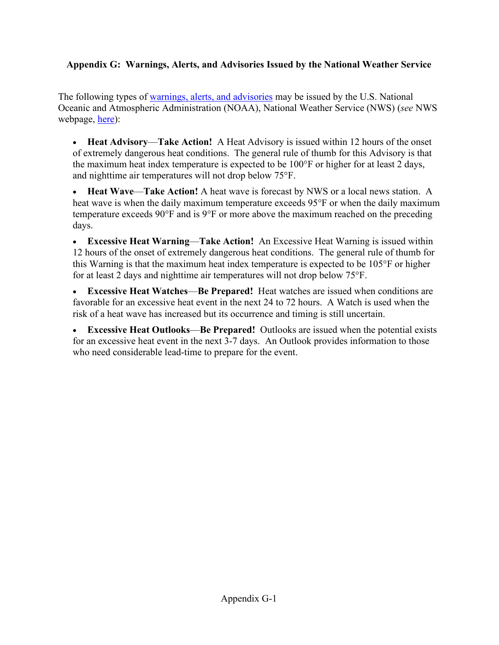# <span id="page-39-0"></span>**Appendix G: Warnings, Alerts, and Advisories Issued by the National Weather Service**

The following types of [warnings, alerts, and advisories](https://www.weather.gov/safety/heat-ww) may be issued by the U.S. National Oceanic and Atmospheric Administration (NOAA), National Weather Service (NWS) (*see* NWS webpage, [here\)](https://www.weather.gov/safety/heat-ww):

• **Heat Advisory**—**Take Action!** A Heat Advisory is issued within 12 hours of the onset of extremely dangerous heat conditions. The general rule of thumb for this Advisory is that the maximum heat index temperature is expected to be 100°F or higher for at least 2 days, and nighttime air temperatures will not drop below 75°F.

• **Heat Wave**—**Take Action!** A heat wave is forecast by NWS or a local news station. A heat wave is when the daily maximum temperature exceeds 95°F or when the daily maximum temperature exceeds 90°F and is 9°F or more above the maximum reached on the preceding days.

• **Excessive Heat Warning**—**Take Action!** An Excessive Heat Warning is issued within 12 hours of the onset of extremely dangerous heat conditions. The general rule of thumb for this Warning is that the maximum heat index temperature is expected to be 105°F or higher for at least 2 days and nighttime air temperatures will not drop below 75°F.

• **Excessive Heat Watches**—**Be Prepared!** Heat watches are issued when conditions are favorable for an excessive heat event in the next 24 to 72 hours. A Watch is used when the risk of a heat wave has increased but its occurrence and timing is still uncertain.

• **Excessive Heat Outlooks**—**Be Prepared!** Outlooks are issued when the potential exists for an excessive heat event in the next 3-7 days. An Outlook provides information to those who need considerable lead-time to prepare for the event.